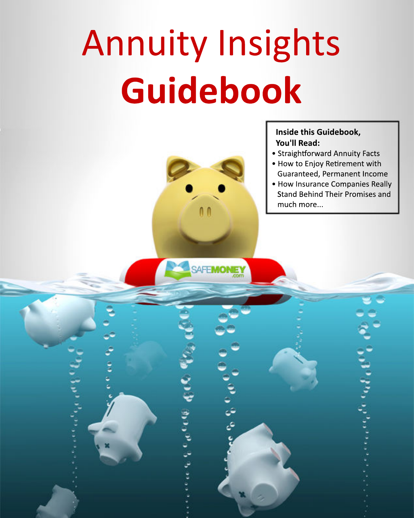# **Annuity Insights** Guidebook



**SAFEMONEY** 

# Inside this Guidebook, **You'll Read:**

- Straightforward Annuity Facts
- . How to Enjoy Retirement with Guaranteed, Permanent Income
- How Insurance Companies Really **Stand Behind Their Promises and** much more...

79. p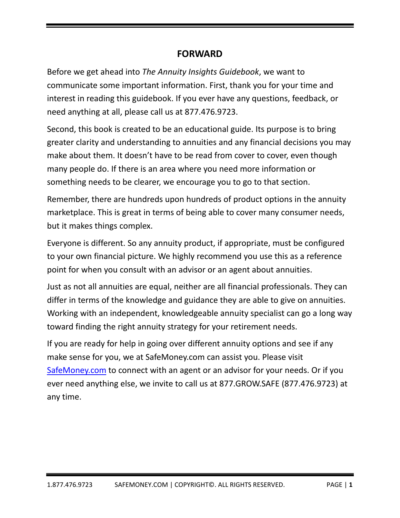# **FORWARD**

Before we get ahead into *The Annuity Insights Guidebook*, we want to communicate some important information. First, thank you for your time and interest in reading this guidebook. If you ever have any questions, feedback, or need anything at all, please call us at 877.476.9723.

Second, this book is created to be an educational guide. Its purpose is to bring greater clarity and understanding to annuities and any financial decisions you may make about them. It doesn't have to be read from cover to cover, even though many people do. If there is an area where you need more information or something needs to be clearer, we encourage you to go to that section.

Remember, there are hundreds upon hundreds of product options in the annuity marketplace. This is great in terms of being able to cover many consumer needs, but it makes things complex.

Everyone is different. So any annuity product, if appropriate, must be configured to your own financial picture. We highly recommend you use this as a reference point for when you consult with an advisor or an agent about annuities.

Just as not all annuities are equal, neither are all financial professionals. They can differ in terms of the knowledge and guidance they are able to give on annuities. Working with an independent, knowledgeable annuity specialist can go a long way toward finding the right annuity strategy for your retirement needs.

If you are ready for help in going over different annuity options and see if any make sense for you, we at SafeMoney.com can assist you. Please visit SafeMoney.com to connect with an agent or an advisor for your needs. Or if you ever need anything else, we invite to call us at 877.GROW.SAFE (877.476.9723) at any time.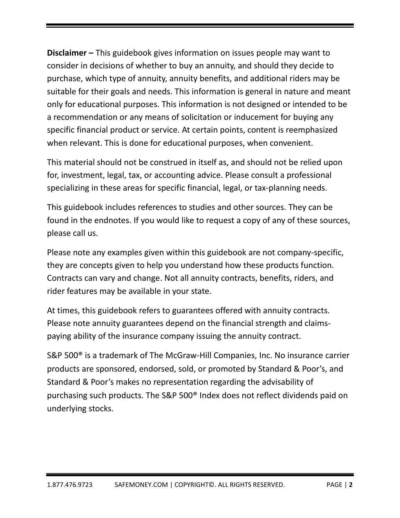**Disclaimer –** This guidebook gives information on issues people may want to consider in decisions of whether to buy an annuity, and should they decide to purchase, which type of annuity, annuity benefits, and additional riders may be suitable for their goals and needs. This information is general in nature and meant only for educational purposes. This information is not designed or intended to be a recommendation or any means of solicitation or inducement for buying any specific financial product or service. At certain points, content is reemphasized when relevant. This is done for educational purposes, when convenient.

This material should not be construed in itself as, and should not be relied upon for, investment, legal, tax, or accounting advice. Please consult a professional specializing in these areas for specific financial, legal, or tax-planning needs.

This guidebook includes references to studies and other sources. They can be found in the endnotes. If you would like to request a copy of any of these sources, please call us.

Please note any examples given within this guidebook are not company‐specific, they are concepts given to help you understand how these products function. Contracts can vary and change. Not all annuity contracts, benefits, riders, and rider features may be available in your state.

At times, this guidebook refers to guarantees offered with annuity contracts. Please note annuity guarantees depend on the financial strength and claims‐ paying ability of the insurance company issuing the annuity contract.

S&P 500<sup>®</sup> is a trademark of The McGraw-Hill Companies, Inc. No insurance carrier products are sponsored, endorsed, sold, or promoted by Standard & Poor's, and Standard & Poor's makes no representation regarding the advisability of purchasing such products. The S&P 500® Index does not reflect dividends paid on underlying stocks.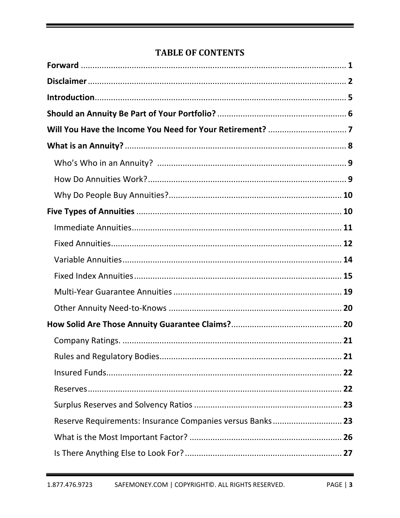# **TABLE OF CONTENTS**

| Reserve Requirements: Insurance Companies versus Banks 23 |  |
|-----------------------------------------------------------|--|
|                                                           |  |
|                                                           |  |

▀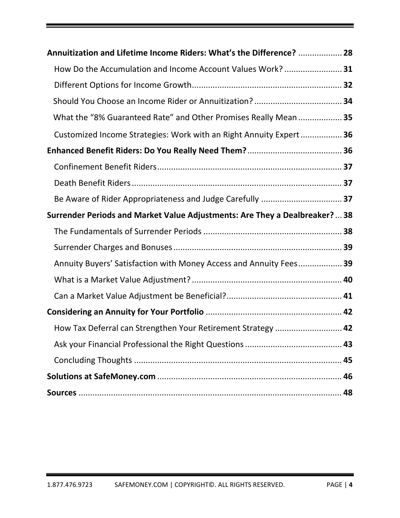| Annuitization and Lifetime Income Riders: What's the Difference?  28        |  |
|-----------------------------------------------------------------------------|--|
| How Do the Accumulation and Income Account Values Work?  31                 |  |
|                                                                             |  |
|                                                                             |  |
| What the "8% Guaranteed Rate" and Other Promises Really Mean  35            |  |
| Customized Income Strategies: Work with an Right Annuity Expert 36          |  |
|                                                                             |  |
|                                                                             |  |
|                                                                             |  |
|                                                                             |  |
| Surrender Periods and Market Value Adjustments: Are They a Dealbreaker?  38 |  |
|                                                                             |  |
|                                                                             |  |
| Annuity Buyers' Satisfaction with Money Access and Annuity Fees 39          |  |
|                                                                             |  |
|                                                                             |  |
|                                                                             |  |
| How Tax Deferral can Strengthen Your Retirement Strategy  42                |  |
|                                                                             |  |
|                                                                             |  |
|                                                                             |  |
|                                                                             |  |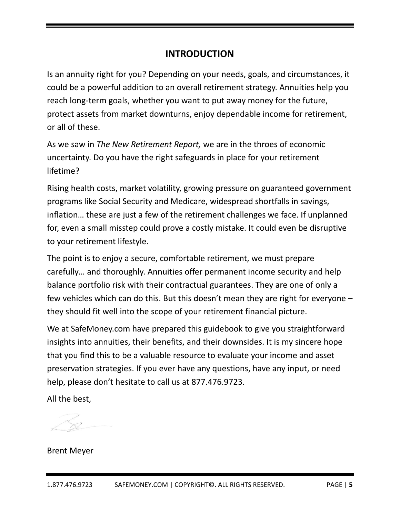# **INTRODUCTION**

Is an annuity right for you? Depending on your needs, goals, and circumstances, it could be a powerful addition to an overall retirement strategy. Annuities help you reach long‐term goals, whether you want to put away money for the future, protect assets from market downturns, enjoy dependable income for retirement, or all of these.

As we saw in *The New Retirement Report,* we are in the throes of economic uncertainty. Do you have the right safeguards in place for your retirement lifetime?

Rising health costs, market volatility, growing pressure on guaranteed government programs like Social Security and Medicare, widespread shortfalls in savings, inflation… these are just a few of the retirement challenges we face. If unplanned for, even a small misstep could prove a costly mistake. It could even be disruptive to your retirement lifestyle.

The point is to enjoy a secure, comfortable retirement, we must prepare carefully… and thoroughly. Annuities offer permanent income security and help balance portfolio risk with their contractual guarantees. They are one of only a few vehicles which can do this. But this doesn't mean they are right for everyone – they should fit well into the scope of your retirement financial picture.

We at SafeMoney.com have prepared this guidebook to give you straightforward insights into annuities, their benefits, and their downsides. It is my sincere hope that you find this to be a valuable resource to evaluate your income and asset preservation strategies. If you ever have any questions, have any input, or need help, please don't hesitate to call us at 877.476.9723.

All the best,

Brent Meyer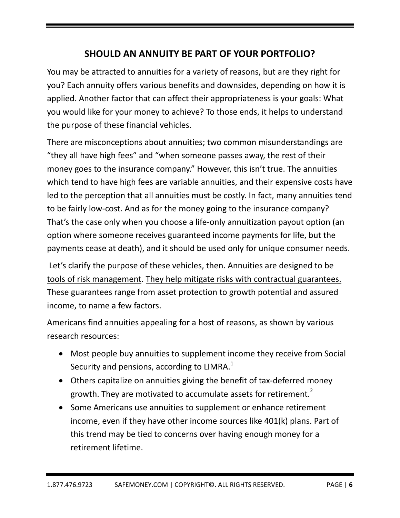# **SHOULD AN ANNUITY BE PART OF YOUR PORTFOLIO?**

You may be attracted to annuities for a variety of reasons, but are they right for you? Each annuity offers various benefits and downsides, depending on how it is applied. Another factor that can affect their appropriateness is your goals: What you would like for your money to achieve? To those ends, it helps to understand the purpose of these financial vehicles.

There are misconceptions about annuities; two common misunderstandings are "they all have high fees" and "when someone passes away, the rest of their money goes to the insurance company." However, this isn't true. The annuities which tend to have high fees are variable annuities, and their expensive costs have led to the perception that all annuities must be costly. In fact, many annuities tend to be fairly low‐cost. And as for the money going to the insurance company? That's the case only when you choose a life‐only annuitization payout option (an option where someone receives guaranteed income payments for life, but the payments cease at death), and it should be used only for unique consumer needs.

Let's clarify the purpose of these vehicles, then. Annuities are designed to be tools of risk management. They help mitigate risks with contractual guarantees. These guarantees range from asset protection to growth potential and assured income, to name a few factors.

Americans find annuities appealing for a host of reasons, as shown by various research resources:

- Most people buy annuities to supplement income they receive from Social Security and pensions, according to LIMRA. $^1$
- Others capitalize on annuities giving the benefit of tax-deferred money growth. They are motivated to accumulate assets for retirement.<sup>2</sup>
- Some Americans use annuities to supplement or enhance retirement income, even if they have other income sources like 401(k) plans. Part of this trend may be tied to concerns over having enough money for a retirement lifetime.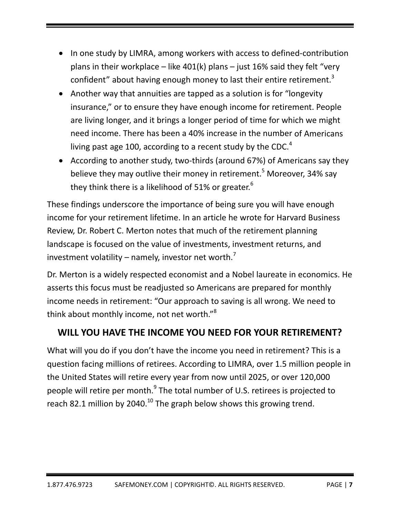- In one study by LIMRA, among workers with access to defined-contribution plans in their workplace – like  $401(k)$  plans – just 16% said they felt "very confident" about having enough money to last their entire retirement. $3$
- Another way that annuities are tapped as a solution is for "longevity" insurance," or to ensure they have enough income for retirement. People are living longer, and it brings a longer period of time for which we might need income. There has been a 40% increase in the number of Americans living past age 100, according to a recent study by the CDC. $4$
- According to another study, two-thirds (around 67%) of Americans say they believe they may outlive their money in retirement.<sup>5</sup> Moreover, 34% say they think there is a likelihood of 51% or greater.<sup>6</sup>

These findings underscore the importance of being sure you will have enough income for your retirement lifetime. In an article he wrote for Harvard Business Review, Dr. Robert C. Merton notes that much of the retirement planning landscape is focused on the value of investments, investment returns, and investment volatility – namely, investor net worth.<sup>7</sup>

Dr. Merton is a widely respected economist and a Nobel laureate in economics. He asserts this focus must be readjusted so Americans are prepared for monthly income needs in retirement: "Our approach to saving is all wrong. We need to think about monthly income, not net worth."<sup>8</sup>

# **WILL YOU HAVE THE INCOME YOU NEED FOR YOUR RETIREMENT?**

What will you do if you don't have the income you need in retirement? This is a question facing millions of retirees. According to LIMRA, over 1.5 million people in the United States will retire every year from now until 2025, or over 120,000 people will retire per month.<sup>9</sup> The total number of U.S. retirees is projected to reach 82.1 million by 2040.<sup>10</sup> The graph below shows this growing trend.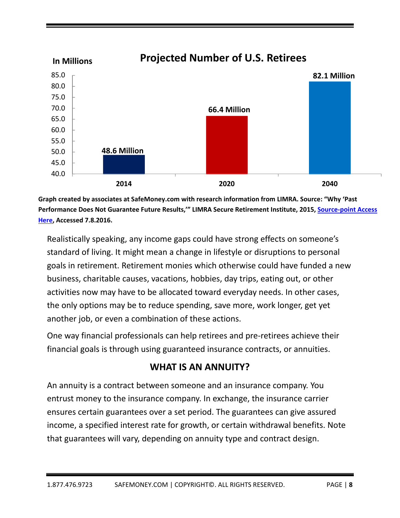

**Graph created by associates at SafeMoney.com with research information from LIMRA. Source: "Why 'Past Performance Does Not Guarantee Future Results,'" LIMRA Secure Retirement Institute, 2015, Source‐point Access Here, Accessed 7.8.2016.**

Realistically speaking, any income gaps could have strong effects on someone's standard of living. It might mean a change in lifestyle or disruptions to personal goals in retirement. Retirement monies which otherwise could have funded a new business, charitable causes, vacations, hobbies, day trips, eating out, or other activities now may have to be allocated toward everyday needs. In other cases, the only options may be to reduce spending, save more, work longer, get yet another job, or even a combination of these actions.

One way financial professionals can help retirees and pre‐retirees achieve their financial goals is through using guaranteed insurance contracts, or annuities.

# **WHAT IS AN ANNUITY?**

An annuity is a contract between someone and an insurance company. You entrust money to the insurance company. In exchange, the insurance carrier ensures certain guarantees over a set period. The guarantees can give assured income, a specified interest rate for growth, or certain withdrawal benefits. Note that guarantees will vary, depending on annuity type and contract design.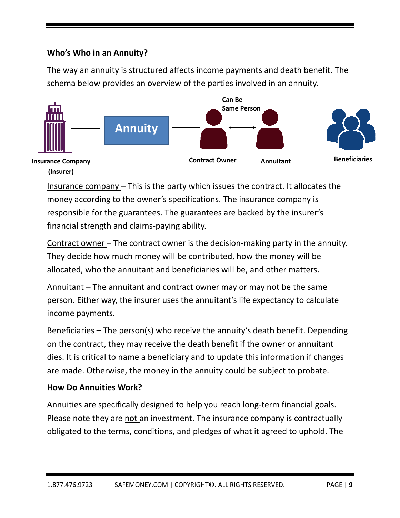# **Who's W Who in an Annuity?**

The way an annuity is structured affects income payments and death benefit. The schema below provides an overview of the parties involved in an annuity.



Insurance company - This is the party which issues the contract. It allocates the money according to the owner's specifications. The insurance company is responsible for the guarantees. The guarantees are backed by the insurer's financial strength and claims-paying ability. **(Insurer)**

Contract owner - The contract owner is the decision-making party in the annuity. They decide how much money will be contributed, how the money will be allocated, who the annuitant and beneficiaries will be, and other matters.

Annuitant - The annuitant and contract owner may or may not be the same person. Either way, the insurer uses the annuitant's life expectancy to calculate income payments s. person. Either way, the insurer uses the annuitant's life expectancy to calculate<br>income payments.<br><u>Beneficiaries –</u> The person(s) who receive the annuity's death benefit. Depending

on the contract, they may receive the death benefit if the owner or annuitant dies. It is critical to name a beneficiary and to update this information if changes are made. Otherwise, the money in the annuity could be subject to probate.

# **How Do o Annuitie s Work?**

Annuities are specifically designed to help you reach long-term financial goals. Please note they are not an investment. The insurance company is contractually obligated to the terms, conditions, and pledges of what it agreed to uphold. The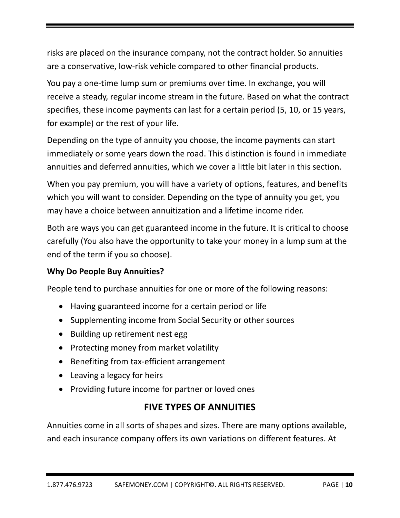risks are placed on the insurance company, not the contract holder. So annuities are a conservative, low‐risk vehicle compared to other financial products.

You pay a one‐time lump sum or premiums over time. In exchange, you will receive a steady, regular income stream in the future. Based on what the contract specifies, these income payments can last for a certain period (5, 10, or 15 years, for example) or the rest of your life.

Depending on the type of annuity you choose, the income payments can start immediately or some years down the road. This distinction is found in immediate annuities and deferred annuities, which we cover a little bit later in this section.

When you pay premium, you will have a variety of options, features, and benefits which you will want to consider. Depending on the type of annuity you get, you may have a choice between annuitization and a lifetime income rider.

Both are ways you can get guaranteed income in the future. It is critical to choose carefully (You also have the opportunity to take your money in a lump sum at the end of the term if you so choose).

# **Why Do People Buy Annuities?**

People tend to purchase annuities for one or more of the following reasons:

- Having guaranteed income for a certain period or life
- Supplementing income from Social Security or other sources
- Building up retirement nest egg
- Protecting money from market volatility
- Benefiting from tax-efficient arrangement
- Leaving a legacy for heirs
- Providing future income for partner or loved ones

# **FIVE TYPES OF ANNUITIES**

Annuities come in all sorts of shapes and sizes. There are many options available, and each insurance company offers its own variations on different features. At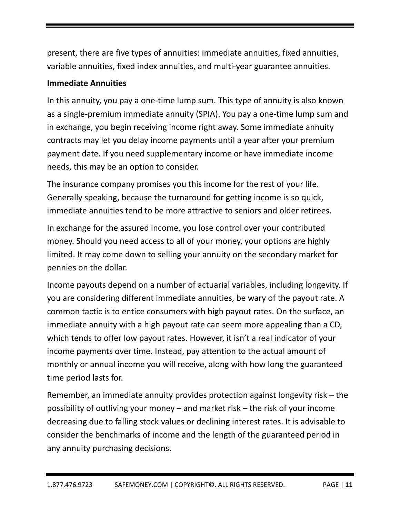present, there are five types of annuities: immediate annuities, fixed annuities, variable annuities, fixed index annuities, and multi‐year guarantee annuities.

# **Immediate Annuities**

In this annuity, you pay a one-time lump sum. This type of annuity is also known as a single‐premium immediate annuity (SPIA). You pay a one‐time lump sum and in exchange, you begin receiving income right away. Some immediate annuity contracts may let you delay income payments until a year after your premium payment date. If you need supplementary income or have immediate income needs, this may be an option to consider.

The insurance company promises you this income for the rest of your life. Generally speaking, because the turnaround for getting income is so quick, immediate annuities tend to be more attractive to seniors and older retirees.

In exchange for the assured income, you lose control over your contributed money. Should you need access to all of your money, your options are highly limited. It may come down to selling your annuity on the secondary market for pennies on the dollar.

Income payouts depend on a number of actuarial variables, including longevity. If you are considering different immediate annuities, be wary of the payout rate. A common tactic is to entice consumers with high payout rates. On the surface, an immediate annuity with a high payout rate can seem more appealing than a CD, which tends to offer low payout rates. However, it isn't a real indicator of your income payments over time. Instead, pay attention to the actual amount of monthly or annual income you will receive, along with how long the guaranteed time period lasts for.

Remember, an immediate annuity provides protection against longevity risk – the possibility of outliving your money – and market risk – the risk of your income decreasing due to falling stock values or declining interest rates. It is advisable to consider the benchmarks of income and the length of the guaranteed period in any annuity purchasing decisions.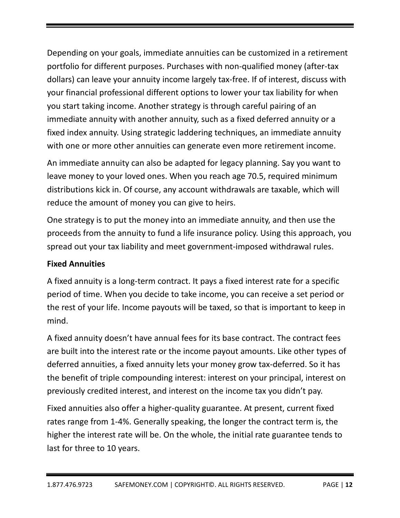Depending on your goals, immediate annuities can be customized in a retirement portfolio for different purposes. Purchases with non‐qualified money (after‐tax dollars) can leave your annuity income largely tax‐free. If of interest, discuss with your financial professional different options to lower your tax liability for when you start taking income. Another strategy is through careful pairing of an immediate annuity with another annuity, such as a fixed deferred annuity or a fixed index annuity. Using strategic laddering techniques, an immediate annuity with one or more other annuities can generate even more retirement income.

An immediate annuity can also be adapted for legacy planning. Say you want to leave money to your loved ones. When you reach age 70.5, required minimum distributions kick in. Of course, any account withdrawals are taxable, which will reduce the amount of money you can give to heirs.

One strategy is to put the money into an immediate annuity, and then use the proceeds from the annuity to fund a life insurance policy. Using this approach, you spread out your tax liability and meet government‐imposed withdrawal rules.

#### **Fixed Annuities**

A fixed annuity is a long‐term contract. It pays a fixed interest rate for a specific period of time. When you decide to take income, you can receive a set period or the rest of your life. Income payouts will be taxed, so that is important to keep in mind.

A fixed annuity doesn't have annual fees for its base contract. The contract fees are built into the interest rate or the income payout amounts. Like other types of deferred annuities, a fixed annuity lets your money grow tax‐deferred. So it has the benefit of triple compounding interest: interest on your principal, interest on previously credited interest, and interest on the income tax you didn't pay.

Fixed annuities also offer a higher‐quality guarantee. At present, current fixed rates range from 1‐4%. Generally speaking, the longer the contract term is, the higher the interest rate will be. On the whole, the initial rate guarantee tends to last for three to 10 years.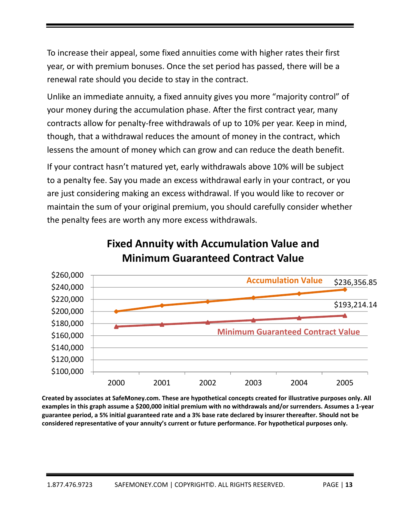To increase their appeal, some fixed annuities come with higher rates their first year, or with premium bonuses. Once the set period has passed, there will be a renewal rate should you decide to stay in the contract.

Unlike an immediate annuity, a fixed annuity gives you more "majority control" of your money during the accumulation phase. After the first contract year, many contracts allow for penalty‐free withdrawals of up to 10% per year. Keep in mind, though, that a withdrawal reduces the amount of money in the contract, which lessens the amount of money which can grow and can reduce the death benefit.

If your contract hasn't matured yet, early withdrawals above 10% will be subject to a penalty fee. Say you made an excess withdrawal early in your contract, or you are just considering making an excess withdrawal. If you would like to recover or maintain the sum of your original premium, you should carefully consider whether the penalty fees are worth any more excess withdrawals.



**Fixed Annuity with Accumulation Value and Minimum Guaranteed Contract Value**

**Created by associates at SafeMoney.com. These are hypothetical concepts created for illustrative purposes only. All** examples in this graph assume a \$200,000 initial premium with no withdrawals and/or surrenders. Assumes a 1-year guarantee period, a 5% initial guaranteed rate and a 3% base rate declared by insurer thereafter. Should not be **considered representative of your annuity's current or future performance. For hypothetical purposes only.**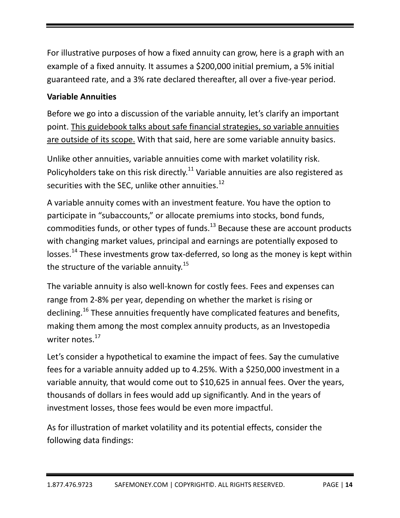For illustrative purposes of how a fixed annuity can grow, here is a graph with an example of a fixed annuity. It assumes a \$200,000 initial premium, a 5% initial guaranteed rate, and a 3% rate declared thereafter, all over a five‐year period.

# **Variable Annuities**

Before we go into a discussion of the variable annuity, let's clarify an important point. This guidebook talks about safe financial strategies, so variable annuities are outside of its scope. With that said, here are some variable annuity basics.

Unlike other annuities, variable annuities come with market volatility risk. Policyholders take on this risk directly.<sup>11</sup> Variable annuities are also registered as securities with the SEC, unlike other annuities. $^{12}$ 

A variable annuity comes with an investment feature. You have the option to participate in "subaccounts," or allocate premiums into stocks, bond funds, commodities funds, or other types of funds.<sup>13</sup> Because these are account products with changing market values, principal and earnings are potentially exposed to losses.<sup>14</sup> These investments grow tax-deferred, so long as the money is kept within the structure of the variable annuity.<sup>15</sup>

The variable annuity is also well‐known for costly fees. Fees and expenses can range from 2‐8% per year, depending on whether the market is rising or declining.<sup>16</sup> These annuities frequently have complicated features and benefits, making them among the most complex annuity products, as an Investopedia writer notes.<sup>17</sup>

Let's consider a hypothetical to examine the impact of fees. Say the cumulative fees for a variable annuity added up to 4.25%. With a \$250,000 investment in a variable annuity, that would come out to \$10,625 in annual fees. Over the years, thousands of dollars in fees would add up significantly. And in the years of investment losses, those fees would be even more impactful.

As for illustration of market volatility and its potential effects, consider the following data findings: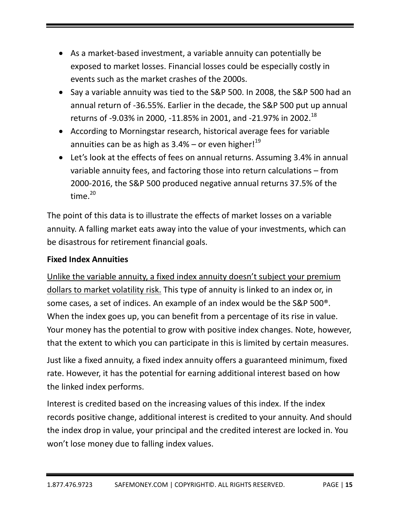- As a market-based investment, a variable annuity can potentially be exposed to market losses. Financial losses could be especially costly in events such as the market crashes of the 2000s.
- Say a variable annuity was tied to the S&P 500. In 2008, the S&P 500 had an annual return of ‐36.55%. Earlier in the decade, the S&P 500 put up annual returns of -9.03% in 2000, -11.85% in 2001, and -21.97% in 2002.<sup>18</sup>
- According to Morningstar research, historical average fees for variable annuities can be as high as 3.4% – or even higher! $^{19}$
- Let's look at the effects of fees on annual returns. Assuming 3.4% in annual variable annuity fees, and factoring those into return calculations – from 2000‐2016, the S&P 500 produced negative annual returns 37.5% of the time. $^{20}$

The point of this data is to illustrate the effects of market losses on a variable annuity. A falling market eats away into the value of your investments, which can be disastrous for retirement financial goals.

# **Fixed Index Annuities**

Unlike the variable annuity, a fixed index annuity doesn't subject your premium dollars to market volatility risk. This type of annuity is linked to an index or, in some cases, a set of indices. An example of an index would be the S&P 500®. When the index goes up, you can benefit from a percentage of its rise in value. Your money has the potential to grow with positive index changes. Note, however, that the extent to which you can participate in this is limited by certain measures.

Just like a fixed annuity, a fixed index annuity offers a guaranteed minimum, fixed rate. However, it has the potential for earning additional interest based on how the linked index performs.

Interest is credited based on the increasing values of this index. If the index records positive change, additional interest is credited to your annuity. And should the index drop in value, your principal and the credited interest are locked in. You won't lose money due to falling index values.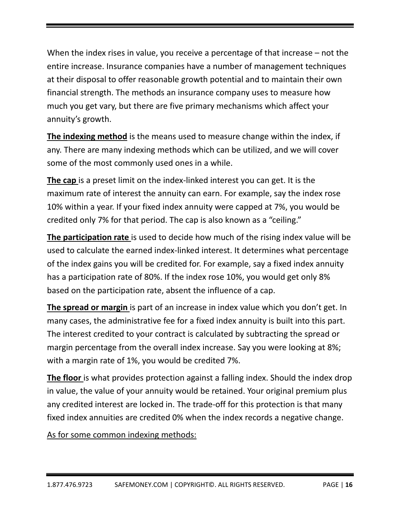When the index rises in value, you receive a percentage of that increase – not the entire increase. Insurance companies have a number of management techniques at their disposal to offer reasonable growth potential and to maintain their own financial strength. The methods an insurance company uses to measure how much you get vary, but there are five primary mechanisms which affect your annuity's growth.

**The indexing method** is the means used to measure change within the index, if any. There are many indexing methods which can be utilized, and we will cover some of the most commonly used ones in a while.

**The cap** is a preset limit on the index‐linked interest you can get. It is the maximum rate of interest the annuity can earn. For example, say the index rose 10% within a year. If your fixed index annuity were capped at 7%, you would be credited only 7% for that period. The cap is also known as a "ceiling."

**The participation rate** is used to decide how much of the rising index value will be used to calculate the earned index‐linked interest. It determines what percentage of the index gains you will be credited for. For example, say a fixed index annuity has a participation rate of 80%. If the index rose 10%, you would get only 8% based on the participation rate, absent the influence of a cap.

**The spread or margin** is part of an increase in index value which you don't get. In many cases, the administrative fee for a fixed index annuity is built into this part. The interest credited to your contract is calculated by subtracting the spread or margin percentage from the overall index increase. Say you were looking at 8%; with a margin rate of 1%, you would be credited 7%.

**The floor** is what provides protection against a falling index. Should the index drop in value, the value of your annuity would be retained. Your original premium plus any credited interest are locked in. The trade‐off for this protection is that many fixed index annuities are credited 0% when the index records a negative change.

As for some common indexing methods: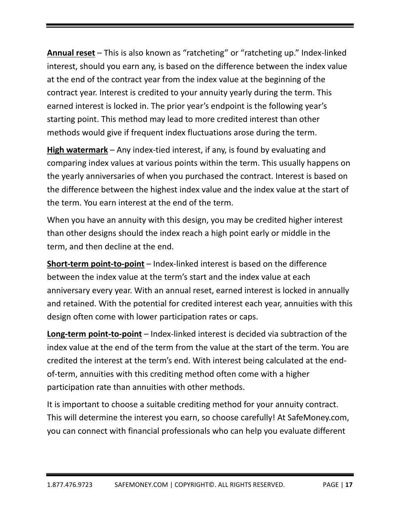**Annual reset** – This is also known as "ratcheting" or "ratcheting up." Index‐linked interest, should you earn any, is based on the difference between the index value at the end of the contract year from the index value at the beginning of the contract year. Interest is credited to your annuity yearly during the term. This earned interest is locked in. The prior year's endpoint is the following year's starting point. This method may lead to more credited interest than other methods would give if frequent index fluctuations arose during the term.

**High watermark** – Any index‐tied interest, if any, is found by evaluating and comparing index values at various points within the term. This usually happens on the yearly anniversaries of when you purchased the contract. Interest is based on the difference between the highest index value and the index value at the start of the term. You earn interest at the end of the term.

When you have an annuity with this design, you may be credited higher interest than other designs should the index reach a high point early or middle in the term, and then decline at the end.

**Short‐term point‐to‐point** – Index‐linked interest is based on the difference between the index value at the term's start and the index value at each anniversary every year. With an annual reset, earned interest is locked in annually and retained. With the potential for credited interest each year, annuities with this design often come with lower participation rates or caps.

**Long‐term point‐to‐point** – Index‐linked interest is decided via subtraction of the index value at the end of the term from the value at the start of the term. You are credited the interest at the term's end. With interest being calculated at the end‐ of-term, annuities with this crediting method often come with a higher participation rate than annuities with other methods.

It is important to choose a suitable crediting method for your annuity contract. This will determine the interest you earn, so choose carefully! At SafeMoney.com, you can connect with financial professionals who can help you evaluate different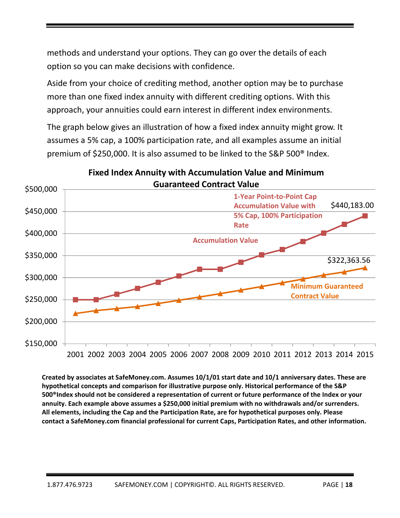methods and understand your options. They can go over the details of each option so you can make decisions with confidence.

Aside from your choice of crediting method, another option may be to purchase more than one fixed index annuity with different crediting options. With this approach, your annuities could earn interest in different index environments.

The graph below gives an illustration of how a fixed index annuity might grow. It assumes a 5% cap, a 100% participation rate, and all examples assume an initial premium of \$250,000. It is also assumed to be linked to the S&P 500® Index.



# **Fixed Index Annuity with Accumulation Value and Minimum**

**Created by associates at SafeMoney.com. Assumes 10/1/01 start date and 10/1 anniversary dates. These are hypothetical concepts and comparison for illustrative purpose only. Historical performance of the S&P 500®Index should not be considered a representation of current or future performance of the Index or your annuity. Each example above assumes a \$250,000 initial premium with no withdrawals and/or surrenders. All elements, including the Cap and the Participation Rate, are for hypothetical purposes only. Please contact a SafeMoney.com financial professional for current Caps, Participation Rates, and other information.**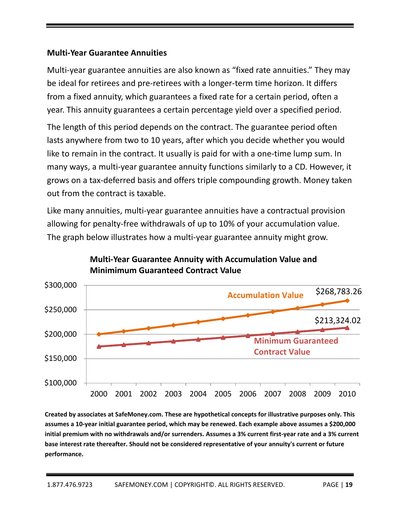#### **Multi‐Year Guarantee Annuities**

Multi-year guarantee annuities are also known as "fixed rate annuities." They may be ideal for retirees and pre‐retirees with a longer‐term time horizon. It differs from a fixed annuity, which guarantees a fixed rate for a certain period, often a year. This annuity guarantees a certain percentage yield over a specified period.

The length of this period depends on the contract. The guarantee period often lasts anywhere from two to 10 years, after which you decide whether you would like to remain in the contract. It usually is paid for with a one‐time lump sum. In many ways, a multi‐year guarantee annuity functions similarly to a CD. However, it grows on a tax‐deferred basis and offers triple compounding growth. Money taken out from the contract is taxable.

Like many annuities, multi‐year guarantee annuities have a contractual provision allowing for penalty‐free withdrawals of up to 10% of your accumulation value. The graph below illustrates how a multi-year guarantee annuity might grow.



# **Multi‐Year Guarantee Annuity with Accumulation Value and Minimimum Guaranteed Contract Value**

**Created by associates at SafeMoney.com. These are hypothetical concepts for illustrative purposes only. This** assumes a 10-year initial guarantee period, which may be renewed. Each example above assumes a \$200,000 initial premium with no withdrawals and/or surrenders. Assumes a 3% current first-year rate and a 3% current **base interest rate thereafter. Should not be considered representative of your annuity's current or future performance.**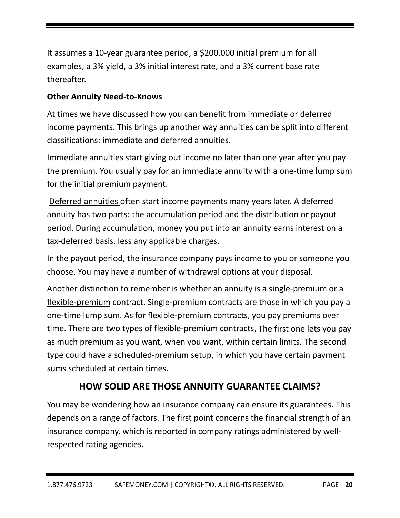It assumes a 10‐year guarantee period, a \$200,000 initial premium for all examples, a 3% yield, a 3% initial interest rate, and a 3% current base rate thereafter.

# **Other Annuity Need‐to‐Knows**

At times we have discussed how you can benefit from immediate or deferred income payments. This brings up another way annuities can be split into different classifications: immediate and deferred annuities.

Immediate annuities start giving out income no later than one year after you pay the premium. You usually pay for an immediate annuity with a one‐time lump sum for the initial premium payment.

Deferred annuities often start income payments many years later. A deferred annuity has two parts: the accumulation period and the distribution or payout period. During accumulation, money you put into an annuity earns interest on a tax‐deferred basis, less any applicable charges.

In the payout period, the insurance company pays income to you or someone you choose. You may have a number of withdrawal options at your disposal.

Another distinction to remember is whether an annuity is a single-premium or a flexible‐premium contract. Single‐premium contracts are those in which you pay a one‐time lump sum. As for flexible‐premium contracts, you pay premiums over time. There are two types of flexible‐premium contracts. The first one lets you pay as much premium as you want, when you want, within certain limits. The second type could have a scheduled‐premium setup, in which you have certain payment sums scheduled at certain times.

# **HOW SOLID ARE THOSE ANNUITY GUARANTEE CLAIMS?**

You may be wondering how an insurance company can ensure its guarantees. This depends on a range of factors. The first point concerns the financial strength of an insurance company, which is reported in company ratings administered by well‐ respected rating agencies.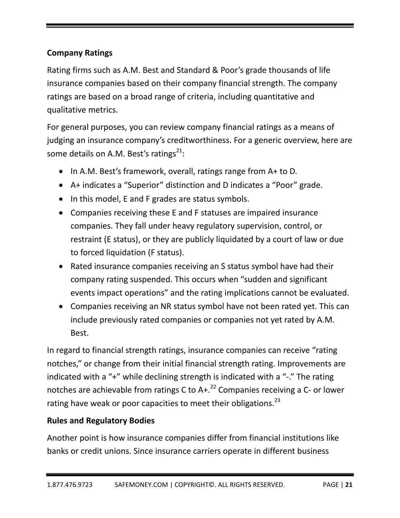# **Company Ratings**

Rating firms such as A.M. Best and Standard & Poor's grade thousands of life insurance companies based on their company financial strength. The company ratings are based on a broad range of criteria, including quantitative and qualitative metrics.

For general purposes, you can review company financial ratings as a means of judging an insurance company's creditworthiness. For a generic overview, here are some details on A.M. Best's ratings<sup>21</sup>:

- In A.M. Best's framework, overall, ratings range from A+ to D.
- A+ indicates a "Superior" distinction and D indicates a "Poor" grade.
- In this model, E and F grades are status symbols.
- Companies receiving these E and F statuses are impaired insurance companies. They fall under heavy regulatory supervision, control, or restraint (E status), or they are publicly liquidated by a court of law or due to forced liquidation (F status).
- Rated insurance companies receiving an S status symbol have had their company rating suspended. This occurs when "sudden and significant events impact operations" and the rating implications cannot be evaluated.
- Companies receiving an NR status symbol have not been rated yet. This can include previously rated companies or companies not yet rated by A.M. Best.

In regard to financial strength ratings, insurance companies can receive "rating notches," or change from their initial financial strength rating. Improvements are indicated with a "+" while declining strength is indicated with a "‐." The rating notches are achievable from ratings C to  $A +$ .<sup>22</sup> Companies receiving a C- or lower rating have weak or poor capacities to meet their obligations.<sup>23</sup>

# **Rules and Regulatory Bodies**

Another point is how insurance companies differ from financial institutions like banks or credit unions. Since insurance carriers operate in different business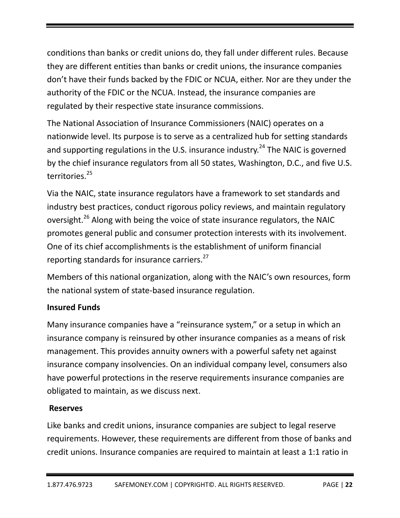conditions than banks or credit unions do, they fall under different rules. Because they are different entities than banks or credit unions, the insurance companies don't have their funds backed by the FDIC or NCUA, either. Nor are they under the authority of the FDIC or the NCUA. Instead, the insurance companies are regulated by their respective state insurance commissions.

The National Association of Insurance Commissioners (NAIC) operates on a nationwide level. Its purpose is to serve as a centralized hub for setting standards and supporting regulations in the U.S. insurance industry.<sup>24</sup> The NAIC is governed by the chief insurance regulators from all 50 states, Washington, D.C., and five U.S. territories.<sup>25</sup>

Via the NAIC, state insurance regulators have a framework to set standards and industry best practices, conduct rigorous policy reviews, and maintain regulatory oversight.<sup>26</sup> Along with being the voice of state insurance regulators, the NAIC promotes general public and consumer protection interests with its involvement. One of its chief accomplishments is the establishment of uniform financial reporting standards for insurance carriers.<sup>27</sup>

Members of this national organization, along with the NAIC's own resources, form the national system of state‐based insurance regulation.

# **Insured Funds**

Many insurance companies have a "reinsurance system," or a setup in which an insurance company is reinsured by other insurance companies as a means of risk management. This provides annuity owners with a powerful safety net against insurance company insolvencies. On an individual company level, consumers also have powerful protections in the reserve requirements insurance companies are obligated to maintain, as we discuss next.

# **Reserves**

Like banks and credit unions, insurance companies are subject to legal reserve requirements. However, these requirements are different from those of banks and credit unions. Insurance companies are required to maintain at least a 1:1 ratio in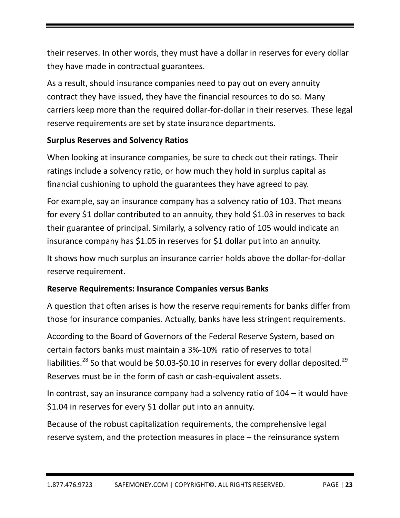their reserves. In other words, they must have a dollar in reserves for every dollar they have made in contractual guarantees.

As a result, should insurance companies need to pay out on every annuity contract they have issued, they have the financial resources to do so. Many carriers keep more than the required dollar‐for‐dollar in their reserves. These legal reserve requirements are set by state insurance departments.

# **Surplus Reserves and Solvency Ratios**

When looking at insurance companies, be sure to check out their ratings. Their ratings include a solvency ratio, or how much they hold in surplus capital as financial cushioning to uphold the guarantees they have agreed to pay.

For example, say an insurance company has a solvency ratio of 103. That means for every \$1 dollar contributed to an annuity, they hold \$1.03 in reserves to back their guarantee of principal. Similarly, a solvency ratio of 105 would indicate an insurance company has \$1.05 in reserves for \$1 dollar put into an annuity.

It shows how much surplus an insurance carrier holds above the dollar‐for‐dollar reserve requirement.

# **Reserve Requirements: Insurance Companies versus Banks**

A question that often arises is how the reserve requirements for banks differ from those for insurance companies. Actually, banks have less stringent requirements.

According to the Board of Governors of the Federal Reserve System, based on certain factors banks must maintain a 3%‐10% ratio of reserves to total liabilities.<sup>28</sup> So that would be \$0.03-\$0.10 in reserves for every dollar deposited.<sup>29</sup> Reserves must be in the form of cash or cash-equivalent assets.

In contrast, say an insurance company had a solvency ratio of 104 – it would have \$1.04 in reserves for every \$1 dollar put into an annuity.

Because of the robust capitalization requirements, the comprehensive legal reserve system, and the protection measures in place – the reinsurance system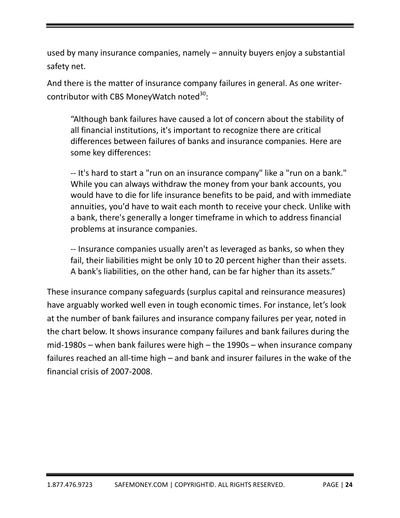used by many insurance companies, namely – annuity buyers enjoy a substantial safety net.

And there is the matter of insurance company failures in general. As one writer‐ contributor with CBS MoneyWatch noted<sup>30</sup>:

"Although bank failures have caused a lot of concern about the stability of all financial institutions, it's important to recognize there are critical differences between failures of banks and insurance companies. Here are some key differences:

‐‐ It's hard to start a "run on an insurance company" like a "run on a bank." While you can always withdraw the money from your bank accounts, you would have to die for life insurance benefits to be paid, and with immediate annuities, you'd have to wait each month to receive your check. Unlike with a bank, there's generally a longer timeframe in which to address financial problems at insurance companies.

‐‐ Insurance companies usually aren't as leveraged as banks, so when they fail, their liabilities might be only 10 to 20 percent higher than their assets. A bank's liabilities, on the other hand, can be far higher than its assets."

These insurance company safeguards (surplus capital and reinsurance measures) have arguably worked well even in tough economic times. For instance, let's look at the number of bank failures and insurance company failures per year, noted in the chart below. It shows insurance company failures and bank failures during the mid-1980s – when bank failures were high – the 1990s – when insurance company failures reached an all-time high – and bank and insurer failures in the wake of the financial crisis of 2007‐2008.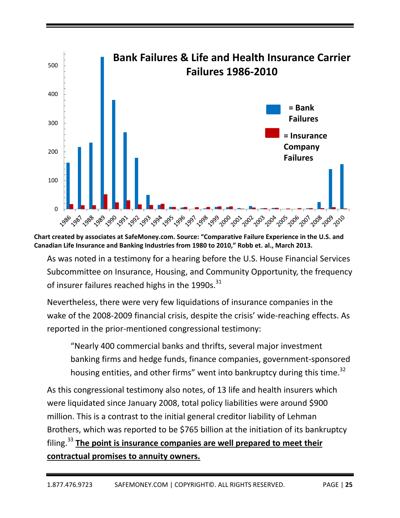

**Chart created by associates at SafeMoney.com. Source: "Comparative Failure Experience in the U.S. and Canadian Life Insurance and Banking Industries from 1980 to 2010," Robb et. al., March 2013.**

As was noted in a testimony for a hearing before the U.S. House Financial Services Subcommittee on Insurance, Housing, and Community Opportunity, the frequency of insurer failures reached highs in the 1990s. $^{31}$ 

Nevertheless, there were very few liquidations of insurance companies in the wake of the 2008‐2009 financial crisis, despite the crisis' wide‐reaching effects. As reported in the prior‐mentioned congressional testimony:

"Nearly 400 commercial banks and thrifts, several major investment banking firms and hedge funds, finance companies, government‐sponsored housing entities, and other firms" went into bankruptcy during this time. $^{32}$ 

As this congressional testimony also notes, of 13 life and health insurers which were liquidated since January 2008, total policy liabilities were around \$900 million. This is a contrast to the initial general creditor liability of Lehman Brothers, which was reported to be \$765 billion at the initiation of its bankruptcy filing.<sup>33</sup> **The point is insurance companies are well prepared to meet their contractual promises to annuity owners.**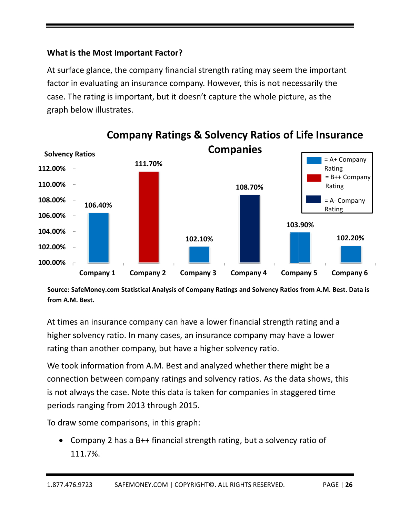# **What is s the Most Importan t Factor?**

At surface glance, the company financial strength rating may seem the important factor in evaluating an insurance company. However, this is not necessarily the case. The rating is important, but it doesn't capture the whole picture, as the graph below illustrates.



Source: SafeMoney.com Statistical Analysis of Company Ratings and Solvency Ratios from A.M. Best. Data is from A.M. Best.

At times an insurance company can have a lower financial strength rating and a higher solvency ratio. In many cases, an insurance company may have a lower rating than another company, but have a higher solvency ratio.

We took information from A.M. Best and analyzed whether there might be a connection between company ratings and solvency ratios. As the data shows, t is not always the case. Note this data is taken for companies in staggered time periods ranging from 2013 through 2015.

To draw some comparisons, in this graph:

• Company 2 has a B++ financial strength rating, but a solvency ratio of 1 111.7%.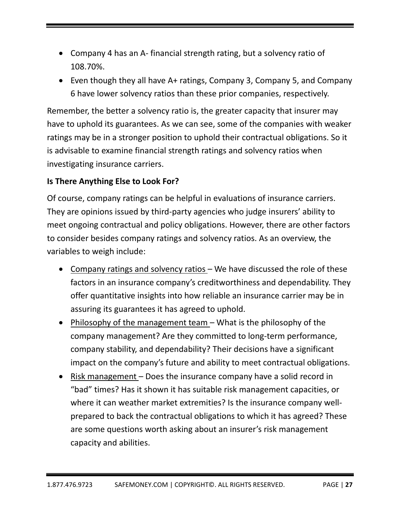- Company 4 has an A- financial strength rating, but a solvency ratio of 108.70%.
- Even though they all have A+ ratings, Company 3, Company 5, and Company 6 have lower solvency ratios than these prior companies, respectively.

Remember, the better a solvency ratio is, the greater capacity that insurer may have to uphold its guarantees. As we can see, some of the companies with weaker ratings may be in a stronger position to uphold their contractual obligations. So it is advisable to examine financial strength ratings and solvency ratios when investigating insurance carriers.

# **Is There Anything Else to Look For?**

Of course, company ratings can be helpful in evaluations of insurance carriers. They are opinions issued by third‐party agencies who judge insurers' ability to meet ongoing contractual and policy obligations. However, there are other factors to consider besides company ratings and solvency ratios. As an overview, the variables to weigh include:

- Company ratings and solvency ratios We have discussed the role of these factors in an insurance company's creditworthiness and dependability. They offer quantitative insights into how reliable an insurance carrier may be in assuring its guarantees it has agreed to uphold.
- Philosophy of the management team What is the philosophy of the company management? Are they committed to long‐term performance, company stability, and dependability? Their decisions have a significant impact on the company's future and ability to meet contractual obligations.
- Risk management Does the insurance company have a solid record in "bad" times? Has it shown it has suitable risk management capacities, or where it can weather market extremities? Is the insurance company wellprepared to back the contractual obligations to which it has agreed? These are some questions worth asking about an insurer's risk management capacity and abilities.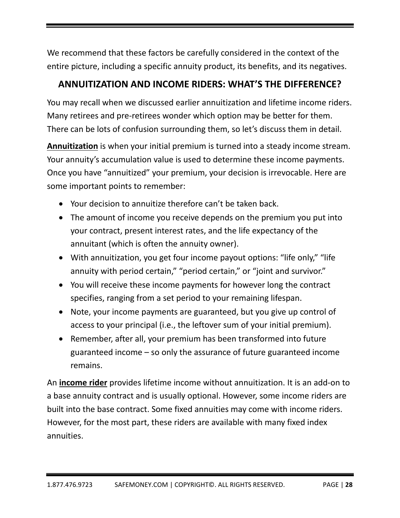We recommend that these factors be carefully considered in the context of the entire picture, including a specific annuity product, its benefits, and its negatives.

# **ANNUITIZATION AND INCOME RIDERS: WHAT'S THE DIFFERENCE?**

You may recall when we discussed earlier annuitization and lifetime income riders. Many retirees and pre-retirees wonder which option may be better for them. There can be lots of confusion surrounding them, so let's discuss them in detail.

**Annuitization** is when your initial premium is turned into a steady income stream. Your annuity's accumulation value is used to determine these income payments. Once you have "annuitized" your premium, your decision is irrevocable. Here are some important points to remember:

- Your decision to annuitize therefore can't be taken back.
- The amount of income you receive depends on the premium you put into your contract, present interest rates, and the life expectancy of the annuitant (which is often the annuity owner).
- With annuitization, you get four income payout options: "life only," "life annuity with period certain," "period certain," or "joint and survivor."
- You will receive these income payments for however long the contract specifies, ranging from a set period to your remaining lifespan.
- Note, your income payments are guaranteed, but you give up control of access to your principal (i.e., the leftover sum of your initial premium).
- Remember, after all, your premium has been transformed into future guaranteed income – so only the assurance of future guaranteed income remains.

An **income rider** provides lifetime income without annuitization. It is an add‐on to a base annuity contract and is usually optional. However, some income riders are built into the base contract. Some fixed annuities may come with income riders. However, for the most part, these riders are available with many fixed index annuities.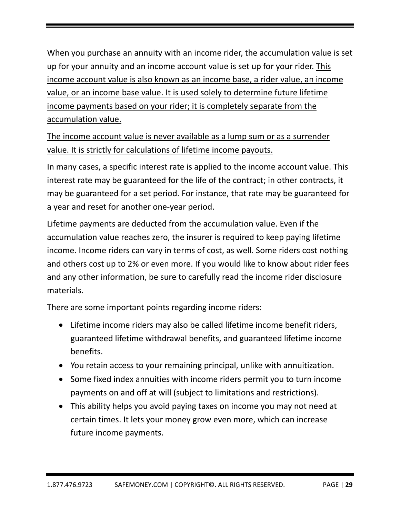When you purchase an annuity with an income rider, the accumulation value is set up for your annuity and an income account value is set up for your rider. This income account value is also known as an income base, a rider value, an income value, or an income base value. It is used solely to determine future lifetime income payments based on your rider; it is completely separate from the accumulation value.

The income account value is never available as a lump sum or as a surrender value. It is strictly for calculations of lifetime income payouts.

In many cases, a specific interest rate is applied to the income account value. This interest rate may be guaranteed for the life of the contract; in other contracts, it may be guaranteed for a set period. For instance, that rate may be guaranteed for a year and reset for another one‐year period.

Lifetime payments are deducted from the accumulation value. Even if the accumulation value reaches zero, the insurer is required to keep paying lifetime income. Income riders can vary in terms of cost, as well. Some riders cost nothing and others cost up to 2% or even more. If you would like to know about rider fees and any other information, be sure to carefully read the income rider disclosure materials.

There are some important points regarding income riders:

- Lifetime income riders may also be called lifetime income benefit riders, guaranteed lifetime withdrawal benefits, and guaranteed lifetime income benefits.
- You retain access to your remaining principal, unlike with annuitization.
- Some fixed index annuities with income riders permit you to turn income payments on and off at will (subject to limitations and restrictions).
- This ability helps you avoid paying taxes on income you may not need at certain times. It lets your money grow even more, which can increase future income payments.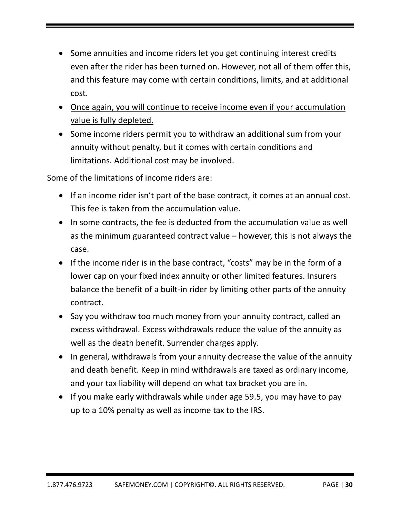- Some annuities and income riders let you get continuing interest credits even after the rider has been turned on. However, not all of them offer this, and this feature may come with certain conditions, limits, and at additional cost.
- Once again, you will continue to receive income even if your accumulation value is fully depleted.
- Some income riders permit you to withdraw an additional sum from your annuity without penalty, but it comes with certain conditions and limitations. Additional cost may be involved.

Some of the limitations of income riders are:

- If an income rider isn't part of the base contract, it comes at an annual cost. This fee is taken from the accumulation value.
- In some contracts, the fee is deducted from the accumulation value as well as the minimum guaranteed contract value – however, this is not always the case.
- If the income rider is in the base contract, "costs" may be in the form of a lower cap on your fixed index annuity or other limited features. Insurers balance the benefit of a built‐in rider by limiting other parts of the annuity contract.
- Say you withdraw too much money from your annuity contract, called an excess withdrawal. Excess withdrawals reduce the value of the annuity as well as the death benefit. Surrender charges apply.
- In general, withdrawals from your annuity decrease the value of the annuity and death benefit. Keep in mind withdrawals are taxed as ordinary income, and your tax liability will depend on what tax bracket you are in.
- $\bullet$  If you make early withdrawals while under age 59.5, you may have to pay up to a 10% penalty as well as income tax to the IRS.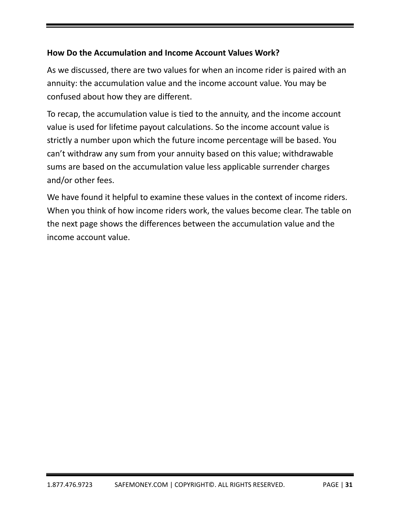# **How Do the Accumulation and Income Account Values Work?**

As we discussed, there are two values for when an income rider is paired with an annuity: the accumulation value and the income account value. You may be confused about how they are different.

To recap, the accumulation value is tied to the annuity, and the income account value is used for lifetime payout calculations. So the income account value is strictly a number upon which the future income percentage will be based. You can't withdraw any sum from your annuity based on this value; withdrawable sums are based on the accumulation value less applicable surrender charges and/or other fees.

We have found it helpful to examine these values in the context of income riders. When you think of how income riders work, the values become clear. The table on the next page shows the differences between the accumulation value and the income account value.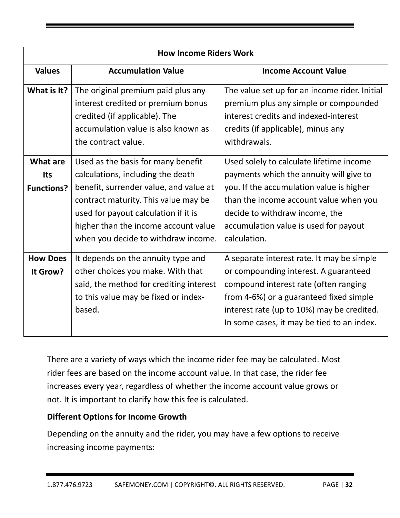| <b>How Income Riders Work</b>               |                                                                                                                                                                                                                                                                                  |                                                                                                                                                                                                                                                                      |  |
|---------------------------------------------|----------------------------------------------------------------------------------------------------------------------------------------------------------------------------------------------------------------------------------------------------------------------------------|----------------------------------------------------------------------------------------------------------------------------------------------------------------------------------------------------------------------------------------------------------------------|--|
| <b>Values</b>                               | <b>Accumulation Value</b>                                                                                                                                                                                                                                                        | <b>Income Account Value</b>                                                                                                                                                                                                                                          |  |
| What is It?                                 | The original premium paid plus any<br>interest credited or premium bonus<br>credited (if applicable). The<br>accumulation value is also known as<br>the contract value.                                                                                                          | The value set up for an income rider. Initial<br>premium plus any simple or compounded<br>interest credits and indexed-interest<br>credits (if applicable), minus any<br>withdrawals.                                                                                |  |
| What are<br><b>Its</b><br><b>Functions?</b> | Used as the basis for many benefit<br>calculations, including the death<br>benefit, surrender value, and value at<br>contract maturity. This value may be<br>used for payout calculation if it is<br>higher than the income account value<br>when you decide to withdraw income. | Used solely to calculate lifetime income<br>payments which the annuity will give to<br>you. If the accumulation value is higher<br>than the income account value when you<br>decide to withdraw income, the<br>accumulation value is used for payout<br>calculation. |  |
| <b>How Does</b><br>It Grow?                 | It depends on the annuity type and<br>other choices you make. With that<br>said, the method for crediting interest<br>to this value may be fixed or index-<br>based.                                                                                                             | A separate interest rate. It may be simple<br>or compounding interest. A guaranteed<br>compound interest rate (often ranging<br>from 4-6%) or a guaranteed fixed simple<br>interest rate (up to 10%) may be credited.<br>In some cases, it may be tied to an index.  |  |

There are a variety of ways which the income rider fee may be calculated. Most rider fees are based on the income account value. In that case, the rider fee increases every year, regardless of whether the income account value grows or not. It is important to clarify how this fee is calculated.

# **Different Options for Income Growth**

Depending on the annuity and the rider, you may have a few options to receive increasing income payments: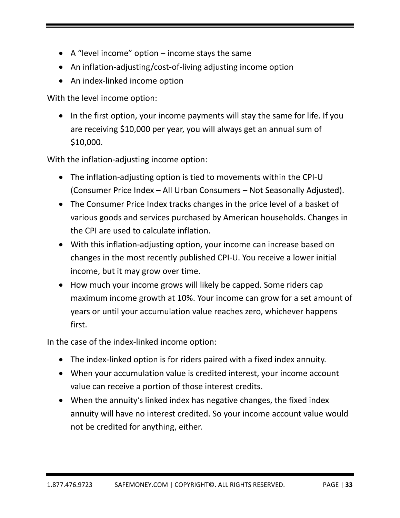- $\bullet$  A "level income" option income stays the same
- An inflation-adjusting/cost-of-living adjusting income option
- An index-linked income option

With the level income option:

• In the first option, your income payments will stay the same for life. If you are receiving \$10,000 per year, you will always get an annual sum of \$10,000.

With the inflation-adjusting income option:

- The inflation‐adjusting option is tied to movements within the CPI‐U (Consumer Price Index – All Urban Consumers – Not Seasonally Adjusted).
- The Consumer Price Index tracks changes in the price level of a basket of various goods and services purchased by American households. Changes in the CPI are used to calculate inflation.
- With this inflation‐adjusting option, your income can increase based on changes in the most recently published CPI‐U. You receive a lower initial income, but it may grow over time.
- How much your income grows will likely be capped. Some riders cap maximum income growth at 10%. Your income can grow for a set amount of years or until your accumulation value reaches zero, whichever happens first.

In the case of the index‐linked income option:

- The index‐linked option is for riders paired with a fixed index annuity.
- When your accumulation value is credited interest, your income account value can receive a portion of those interest credits.
- When the annuity's linked index has negative changes, the fixed index annuity will have no interest credited. So your income account value would not be credited for anything, either.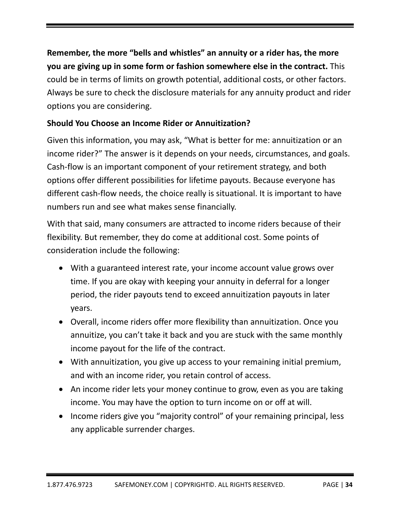**Remember, the more "bells and whistles" an annuity or a rider has, the more you are giving up in some form or fashion somewhere else in the contract.** This could be in terms of limits on growth potential, additional costs, or other factors. Always be sure to check the disclosure materials for any annuity product and rider options you are considering.

# **Should You Choose an Income Rider or Annuitization?**

Given this information, you may ask, "What is better for me: annuitization or an income rider?" The answer is it depends on your needs, circumstances, and goals. Cash‐flow is an important component of your retirement strategy, and both options offer different possibilities for lifetime payouts. Because everyone has different cash‐flow needs, the choice really is situational. It is important to have numbers run and see what makes sense financially.

With that said, many consumers are attracted to income riders because of their flexibility. But remember, they do come at additional cost. Some points of consideration include the following:

- With a guaranteed interest rate, your income account value grows over time. If you are okay with keeping your annuity in deferral for a longer period, the rider payouts tend to exceed annuitization payouts in later years.
- Overall, income riders offer more flexibility than annuitization. Once you annuitize, you can't take it back and you are stuck with the same monthly income payout for the life of the contract.
- With annuitization, you give up access to your remaining initial premium, and with an income rider, you retain control of access.
- An income rider lets your money continue to grow, even as you are taking income. You may have the option to turn income on or off at will.
- Income riders give you "majority control" of your remaining principal, less any applicable surrender charges.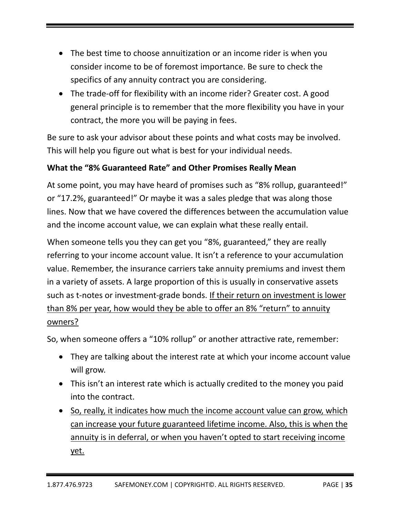- The best time to choose annuitization or an income rider is when you consider income to be of foremost importance. Be sure to check the specifics of any annuity contract you are considering.
- The trade‐off for flexibility with an income rider? Greater cost. A good general principle is to remember that the more flexibility you have in your contract, the more you will be paying in fees.

Be sure to ask your advisor about these points and what costs may be involved. This will help you figure out what is best for your individual needs.

# **What the "8% Guaranteed Rate" and Other Promises Really Mean**

At some point, you may have heard of promises such as "8% rollup, guaranteed!" or "17.2%, guaranteed!" Or maybe it was a sales pledge that was along those lines. Now that we have covered the differences between the accumulation value and the income account value, we can explain what these really entail.

When someone tells you they can get you "8%, guaranteed," they are really referring to your income account value. It isn't a reference to your accumulation value. Remember, the insurance carriers take annuity premiums and invest them in a variety of assets. A large proportion of this is usually in conservative assets such as t‐notes or investment‐grade bonds. If their return on investment is lower than 8% per year, how would they be able to offer an 8% "return" to annuity owners?

So, when someone offers a "10% rollup" or another attractive rate, remember:

- They are talking about the interest rate at which your income account value will grow.
- This isn't an interest rate which is actually credited to the money you paid into the contract.
- So, really, it indicates how much the income account value can grow, which can increase your future guaranteed lifetime income. Also, this is when the annuity is in deferral, or when you haven't opted to start receiving income yet.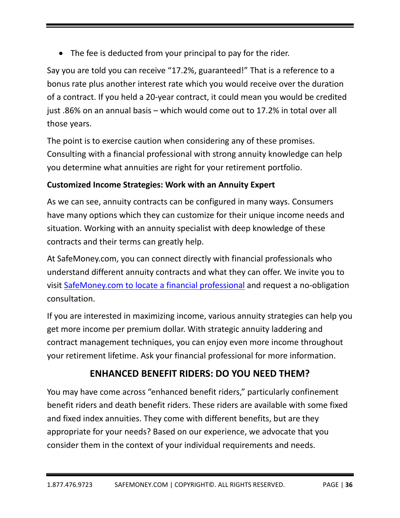The fee is deducted from your principal to pay for the rider.

Say you are told you can receive "17.2%, guaranteed!" That is a reference to a bonus rate plus another interest rate which you would receive over the duration of a contract. If you held a 20‐year contract, it could mean you would be credited just .86% on an annual basis – which would come out to 17.2% in total over all those years.

The point is to exercise caution when considering any of these promises. Consulting with a financial professional with strong annuity knowledge can help you determine what annuities are right for your retirement portfolio.

# **Customized Income Strategies: Work with an Annuity Expert**

As we can see, annuity contracts can be configured in many ways. Consumers have many options which they can customize for their unique income needs and situation. Working with an annuity specialist with deep knowledge of these contracts and their terms can greatly help.

At SafeMoney.com, you can connect directly with financial professionals who understand different annuity contracts and what they can offer. We invite you to visit SafeMoney.com to locate a financial professional and request a no‐obligation consultation.

If you are interested in maximizing income, various annuity strategies can help you get more income per premium dollar. With strategic annuity laddering and contract management techniques, you can enjoy even more income throughout your retirement lifetime. Ask your financial professional for more information.

# **ENHANCED BENEFIT RIDERS: DO YOU NEED THEM?**

You may have come across "enhanced benefit riders," particularly confinement benefit riders and death benefit riders. These riders are available with some fixed and fixed index annuities. They come with different benefits, but are they appropriate for your needs? Based on our experience, we advocate that you consider them in the context of your individual requirements and needs.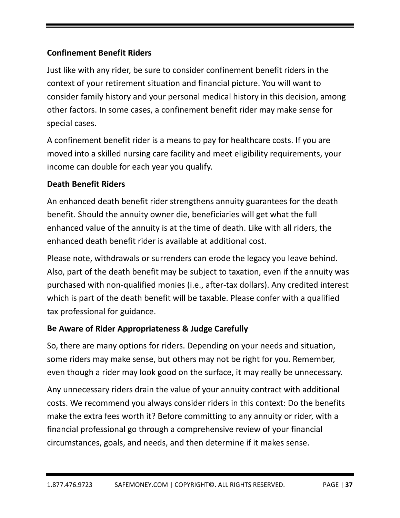# **Confinement Benefit Riders**

Just like with any rider, be sure to consider confinement benefit riders in the context of your retirement situation and financial picture. You will want to consider family history and your personal medical history in this decision, among other factors. In some cases, a confinement benefit rider may make sense for special cases.

A confinement benefit rider is a means to pay for healthcare costs. If you are moved into a skilled nursing care facility and meet eligibility requirements, your income can double for each year you qualify.

#### **Death Benefit Riders**

An enhanced death benefit rider strengthens annuity guarantees for the death benefit. Should the annuity owner die, beneficiaries will get what the full enhanced value of the annuity is at the time of death. Like with all riders, the enhanced death benefit rider is available at additional cost.

Please note, withdrawals or surrenders can erode the legacy you leave behind. Also, part of the death benefit may be subject to taxation, even if the annuity was purchased with non‐qualified monies (i.e., after‐tax dollars). Any credited interest which is part of the death benefit will be taxable. Please confer with a qualified tax professional for guidance.

#### **Be Aware of Rider Appropriateness & Judge Carefully**

So, there are many options for riders. Depending on your needs and situation, some riders may make sense, but others may not be right for you. Remember, even though a rider may look good on the surface, it may really be unnecessary.

Any unnecessary riders drain the value of your annuity contract with additional costs. We recommend you always consider riders in this context: Do the benefits make the extra fees worth it? Before committing to any annuity or rider, with a financial professional go through a comprehensive review of your financial circumstances, goals, and needs, and then determine if it makes sense.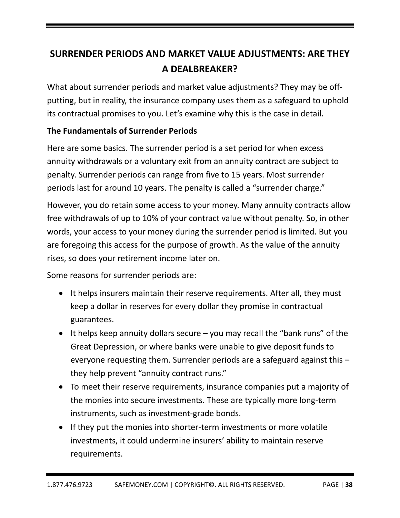# **SURRENDER PERIODS AND MARKET VALUE ADJUSTMENTS: ARE THEY A DEALBREAKER?**

What about surrender periods and market value adjustments? They may be offputting, but in reality, the insurance company uses them as a safeguard to uphold its contractual promises to you. Let's examine why this is the case in detail.

# **The Fundamentals of Surrender Periods**

Here are some basics. The surrender period is a set period for when excess annuity withdrawals or a voluntary exit from an annuity contract are subject to penalty. Surrender periods can range from five to 15 years. Most surrender periods last for around 10 years. The penalty is called a "surrender charge."

However, you do retain some access to your money. Many annuity contracts allow free withdrawals of up to 10% of your contract value without penalty. So, in other words, your access to your money during the surrender period is limited. But you are foregoing this access for the purpose of growth. As the value of the annuity rises, so does your retirement income later on.

Some reasons for surrender periods are:

- It helps insurers maintain their reserve requirements. After all, they must keep a dollar in reserves for every dollar they promise in contractual guarantees.
- It helps keep annuity dollars secure  $-$  you may recall the "bank runs" of the Great Depression, or where banks were unable to give deposit funds to everyone requesting them. Surrender periods are a safeguard against this – they help prevent "annuity contract runs."
- To meet their reserve requirements, insurance companies put a majority of the monies into secure investments. These are typically more long‐term instruments, such as investment‐grade bonds.
- If they put the monies into shorter-term investments or more volatile investments, it could undermine insurers' ability to maintain reserve requirements.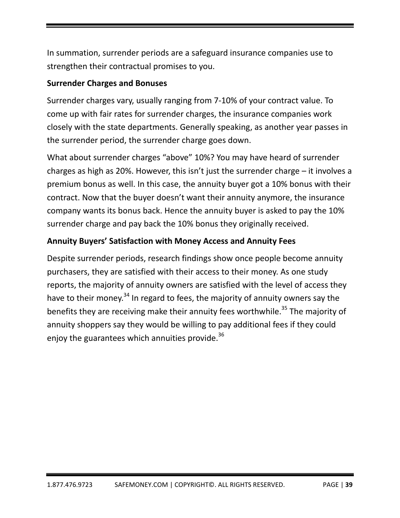In summation, surrender periods are a safeguard insurance companies use to strengthen their contractual promises to you.

#### **Surrender Charges and Bonuses**

Surrender charges vary, usually ranging from 7‐10% of your contract value. To come up with fair rates for surrender charges, the insurance companies work closely with the state departments. Generally speaking, as another year passes in the surrender period, the surrender charge goes down.

What about surrender charges "above" 10%? You may have heard of surrender charges as high as 20%. However, this isn't just the surrender charge – it involves a premium bonus as well. In this case, the annuity buyer got a 10% bonus with their contract. Now that the buyer doesn't want their annuity anymore, the insurance company wants its bonus back. Hence the annuity buyer is asked to pay the 10% surrender charge and pay back the 10% bonus they originally received.

# **Annuity Buyers' Satisfaction with Money Access and Annuity Fees**

Despite surrender periods, research findings show once people become annuity purchasers, they are satisfied with their access to their money. As one study reports, the majority of annuity owners are satisfied with the level of access they have to their money.<sup>34</sup> In regard to fees, the majority of annuity owners say the benefits they are receiving make their annuity fees worthwhile.<sup>35</sup> The majority of annuity shoppers say they would be willing to pay additional fees if they could enjoy the guarantees which annuities provide. $^{36}$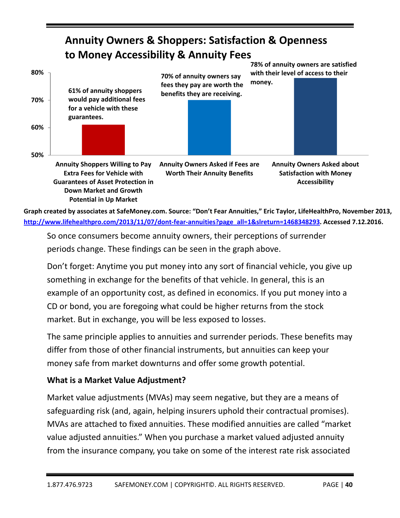#### **50% 60% 70% 80% Annuity Shoppers Willing to Pay Extra Fees for Vehicle with Annuity Owners Asked if Fees are Worth Their Annuity Benefits Annuity Owners Asked about Satisfaction with Money Annuity Owners & Shoppers: Satisfaction & Openness to Money Accessibility & Annuity Fees 78% of annuity owners are satisfied with their level of access to their money. 70% of annuity owners say fees they pay are worth the benefits they are receiving. 61% of annuity shoppers would pay additional fees for a vehicle with these guarantees.**

Graph created by associates at SafeMoney.com. Source: "Don't Fear Annuities," Eric Taylor, LifeHealthPro, November 2013, **http://www.lifehealthpro.com/2013/11/07/dont‐fear‐annuities?page\_all=1&slreturn=1468348293. Accessed 7.12.2016. Potential in Up Market**

So once consumers become annuity owners, their perceptions of surrender periods change. These findings can be seen in the graph above.

Don't forget: Anytime you put money into any sort of financial vehicle, you give up something in exchange for the benefits of that vehicle. In general, this is an example of an opportunity cost, as defined in economics. If you put money into a CD or bond, you are foregoing what could be higher returns from the stock market. But in exchange, you will be less exposed to losses.

The same principle applies to annuities and surrender periods. These benefits may differ from those of other financial instruments, but annuities can keep your money safe from market downturns and offer some growth potential.

#### **What is a Market Value Adjustment?**

**Guarantees of Asset Protection in Down Market and Growth**

Market value adjustments (MVAs) may seem negative, but they are a means of safeguarding risk (and, again, helping insurers uphold their contractual promises). MVAs are attached to fixed annuities. These modified annuities are called "market value adjusted annuities." When you purchase a market valued adjusted annuity from the insurance company, you take on some of the interest rate risk associated

**Accessibility**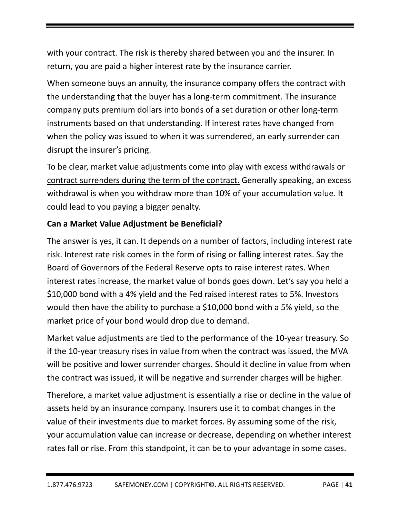with your contract. The risk is thereby shared between you and the insurer. In return, you are paid a higher interest rate by the insurance carrier.

When someone buys an annuity, the insurance company offers the contract with the understanding that the buyer has a long‐term commitment. The insurance company puts premium dollars into bonds of a set duration or other long‐term instruments based on that understanding. If interest rates have changed from when the policy was issued to when it was surrendered, an early surrender can disrupt the insurer's pricing.

To be clear, market value adjustments come into play with excess withdrawals or contract surrenders during the term of the contract. Generally speaking, an excess withdrawal is when you withdraw more than 10% of your accumulation value. It could lead to you paying a bigger penalty.

# **Can a Market Value Adjustment be Beneficial?**

The answer is yes, it can. It depends on a number of factors, including interest rate risk. Interest rate risk comes in the form of rising or falling interest rates. Say the Board of Governors of the Federal Reserve opts to raise interest rates. When interest rates increase, the market value of bonds goes down. Let's say you held a \$10,000 bond with a 4% yield and the Fed raised interest rates to 5%. Investors would then have the ability to purchase a \$10,000 bond with a 5% yield, so the market price of your bond would drop due to demand.

Market value adjustments are tied to the performance of the 10‐year treasury. So if the 10‐year treasury rises in value from when the contract was issued, the MVA will be positive and lower surrender charges. Should it decline in value from when the contract was issued, it will be negative and surrender charges will be higher.

Therefore, a market value adjustment is essentially a rise or decline in the value of assets held by an insurance company. Insurers use it to combat changes in the value of their investments due to market forces. By assuming some of the risk, your accumulation value can increase or decrease, depending on whether interest rates fall or rise. From this standpoint, it can be to your advantage in some cases.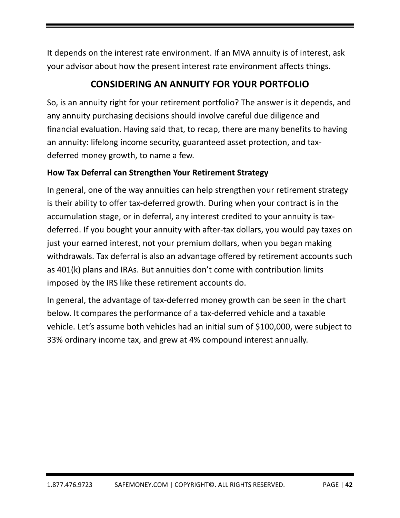It depends on the interest rate environment. If an MVA annuity is of interest, ask your advisor about how the present interest rate environment affects things.

# **CONSIDERING AN ANNUITY FOR YOUR PORTFOLIO**

So, is an annuity right for your retirement portfolio? The answer is it depends, and any annuity purchasing decisions should involve careful due diligence and financial evaluation. Having said that, to recap, there are many benefits to having an annuity: lifelong income security, guaranteed asset protection, and tax‐ deferred money growth, to name a few.

# **How Tax Deferral can Strengthen Your Retirement Strategy**

In general, one of the way annuities can help strengthen your retirement strategy is their ability to offer tax‐deferred growth. During when your contract is in the accumulation stage, or in deferral, any interest credited to your annuity is tax‐ deferred. If you bought your annuity with after‐tax dollars, you would pay taxes on just your earned interest, not your premium dollars, when you began making withdrawals. Tax deferral is also an advantage offered by retirement accounts such as 401(k) plans and IRAs. But annuities don't come with contribution limits imposed by the IRS like these retirement accounts do.

In general, the advantage of tax‐deferred money growth can be seen in the chart below. It compares the performance of a tax‐deferred vehicle and a taxable vehicle. Let's assume both vehicles had an initial sum of \$100,000, were subject to 33% ordinary income tax, and grew at 4% compound interest annually.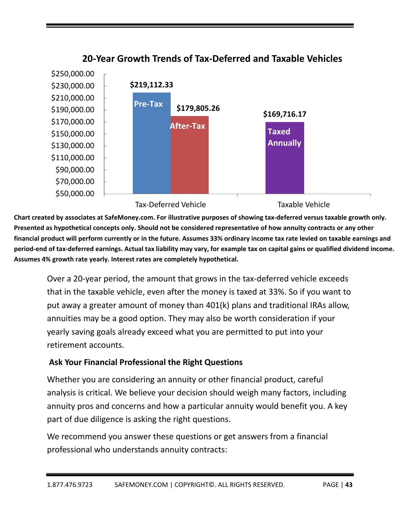

**20‐Year Growth Trends of Tax‐Deferred and Taxable Vehicles**

Chart created by associates at SafeMoney.com. For illustrative purposes of showing tax-deferred versus taxable growth only. Presented as hypothetical concepts only. Should not be considered representative of how annuity contracts or any other financial product will perform currently or in the future. Assumes 33% ordinary income tax rate levied on taxable earnings and period-end of tax-deferred earnings. Actual tax liability may vary, for example tax on capital gains or qualified dividend income. **Assumes 4% growth rate yearly. Interest rates are completely hypothetical.** 

Over a 20‐year period, the amount that grows in the tax‐deferred vehicle exceeds that in the taxable vehicle, even after the money is taxed at 33%. So if you want to put away a greater amount of money than 401(k) plans and traditional IRAs allow, annuities may be a good option. They may also be worth consideration if your yearly saving goals already exceed what you are permitted to put into your retirement accounts.

# **Ask Your Financial Professional the Right Questions**

Whether you are considering an annuity or other financial product, careful analysis is critical. We believe your decision should weigh many factors, including annuity pros and concerns and how a particular annuity would benefit you. A key part of due diligence is asking the right questions.

We recommend you answer these questions or get answers from a financial professional who understands annuity contracts: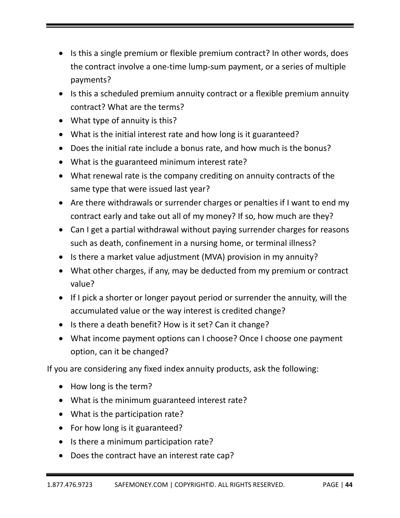- Is this a single premium or flexible premium contract? In other words, does the contract involve a one‐time lump‐sum payment, or a series of multiple payments?
- Is this a scheduled premium annuity contract or a flexible premium annuity contract? What are the terms?
- What type of annuity is this?
- What is the initial interest rate and how long is it guaranteed?
- Does the initial rate include a bonus rate, and how much is the bonus?
- What is the guaranteed minimum interest rate?
- What renewal rate is the company crediting on annuity contracts of the same type that were issued last year?
- Are there withdrawals or surrender charges or penalties if I want to end my contract early and take out all of my money? If so, how much are they?
- Can I get a partial withdrawal without paying surrender charges for reasons such as death, confinement in a nursing home, or terminal illness?
- Is there a market value adjustment (MVA) provision in my annuity?
- What other charges, if any, may be deducted from my premium or contract value?
- If I pick a shorter or longer payout period or surrender the annuity, will the accumulated value or the way interest is credited change?
- Is there a death benefit? How is it set? Can it change?
- What income payment options can I choose? Once I choose one payment option, can it be changed?

If you are considering any fixed index annuity products, ask the following:

- How long is the term?
- What is the minimum guaranteed interest rate?
- What is the participation rate?
- For how long is it guaranteed?
- Is there a minimum participation rate?
- Does the contract have an interest rate cap?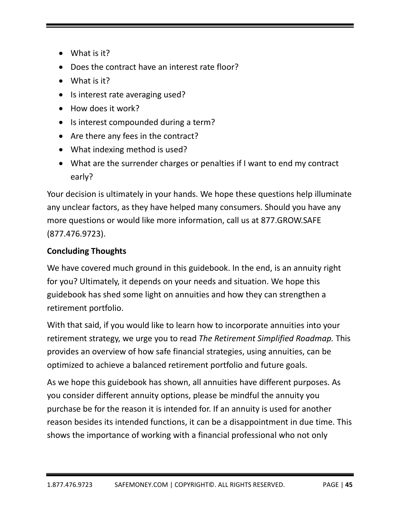- What is it?
- Does the contract have an interest rate floor?
- What is it?
- Is interest rate averaging used?
- How does it work?
- Is interest compounded during a term?
- Are there any fees in the contract?
- What indexing method is used?
- What are the surrender charges or penalties if I want to end my contract early?

Your decision is ultimately in your hands. We hope these questions help illuminate any unclear factors, as they have helped many consumers. Should you have any more questions or would like more information, call us at 877.GROW.SAFE (877.476.9723).

# **Concluding Thoughts**

We have covered much ground in this guidebook. In the end, is an annuity right for you? Ultimately, it depends on your needs and situation. We hope this guidebook has shed some light on annuities and how they can strengthen a retirement portfolio.

With that said, if you would like to learn how to incorporate annuities into your retirement strategy, we urge you to read *The Retirement Simplified Roadmap.* This provides an overview of how safe financial strategies, using annuities, can be optimized to achieve a balanced retirement portfolio and future goals.

As we hope this guidebook has shown, all annuities have different purposes. As you consider different annuity options, please be mindful the annuity you purchase be for the reason it is intended for. If an annuity is used for another reason besides its intended functions, it can be a disappointment in due time. This shows the importance of working with a financial professional who not only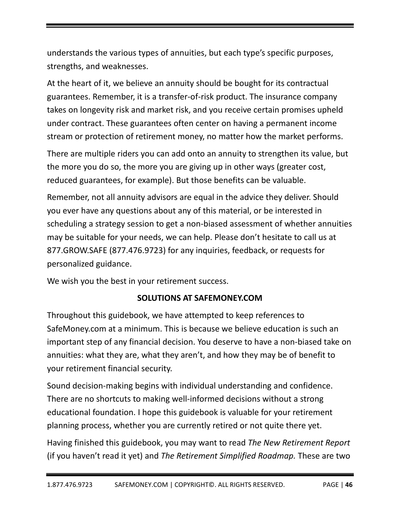understands the various types of annuities, but each type's specific purposes, strengths, and weaknesses.

At the heart of it, we believe an annuity should be bought for its contractual guarantees. Remember, it is a transfer‐of‐risk product. The insurance company takes on longevity risk and market risk, and you receive certain promises upheld under contract. These guarantees often center on having a permanent income stream or protection of retirement money, no matter how the market performs.

There are multiple riders you can add onto an annuity to strengthen its value, but the more you do so, the more you are giving up in other ways (greater cost, reduced guarantees, for example). But those benefits can be valuable.

Remember, not all annuity advisors are equal in the advice they deliver. Should you ever have any questions about any of this material, or be interested in scheduling a strategy session to get a non‐biased assessment of whether annuities may be suitable for your needs, we can help. Please don't hesitate to call us at 877.GROW.SAFE (877.476.9723) for any inquiries, feedback, or requests for personalized guidance.

We wish you the best in your retirement success.

# **SOLUTIONS AT SAFEMONEY.COM**

Throughout this guidebook, we have attempted to keep references to SafeMoney.com at a minimum. This is because we believe education is such an important step of any financial decision. You deserve to have a non‐biased take on annuities: what they are, what they aren't, and how they may be of benefit to your retirement financial security.

Sound decision‐making begins with individual understanding and confidence. There are no shortcuts to making well‐informed decisions without a strong educational foundation. I hope this guidebook is valuable for your retirement planning process, whether you are currently retired or not quite there yet.

Having finished this guidebook, you may want to read *The New Retirement Report* (if you haven't read it yet) and *The Retirement Simplified Roadmap.* These are two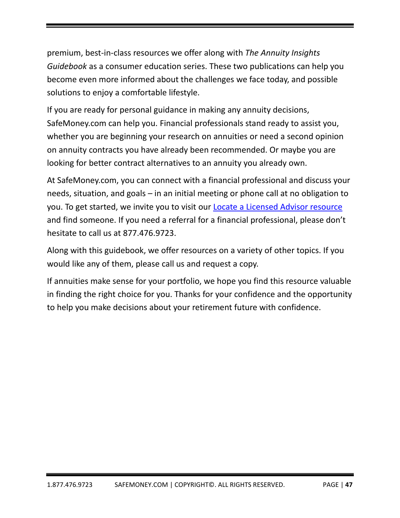premium, best‐in‐class resources we offer along with *The Annuity Insights Guidebook* as a consumer education series. These two publications can help you become even more informed about the challenges we face today, and possible solutions to enjoy a comfortable lifestyle.

If you are ready for personal guidance in making any annuity decisions, SafeMoney.com can help you. Financial professionals stand ready to assist you, whether you are beginning your research on annuities or need a second opinion on annuity contracts you have already been recommended. Or maybe you are looking for better contract alternatives to an annuity you already own.

At SafeMoney.com, you can connect with a financial professional and discuss your needs, situation, and goals – in an initial meeting or phone call at no obligation to you. To get started, we invite you to visit our Locate a Licensed Advisor resource and find someone. If you need a referral for a financial professional, please don't hesitate to call us at 877.476.9723.

Along with this guidebook, we offer resources on a variety of other topics. If you would like any of them, please call us and request a copy.

If annuities make sense for your portfolio, we hope you find this resource valuable in finding the right choice for you. Thanks for your confidence and the opportunity to help you make decisions about your retirement future with confidence.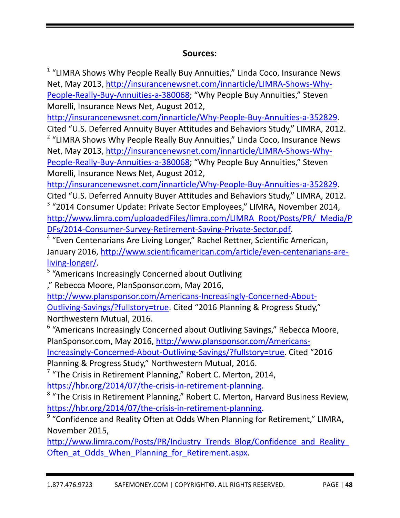# **Sources:**

<sup>1</sup> "LIMRA Shows Why People Really Buy Annuities," Linda Coco, Insurance News Net, May 2013, http://insurancenewsnet.com/innarticle/LIMRA‐Shows‐Why‐ People‐Really‐Buy‐Annuities‐a‐380068; "Why People Buy Annuities," Steven Morelli, Insurance News Net, August 2012,

http://insurancenewsnet.com/innarticle/Why‐People‐Buy‐Annuities‐a‐352829.

Cited "U.S. Deferred Annuity Buyer Attitudes and Behaviors Study," LIMRA, 2012. <sup>2</sup> "LIMRA Shows Why People Really Buy Annuities," Linda Coco, Insurance News

Net, May 2013, http://insurancenewsnet.com/innarticle/LIMRA‐Shows‐Why‐ People‐Really‐Buy‐Annuities‐a‐380068; "Why People Buy Annuities," Steven Morelli, Insurance News Net, August 2012,

http://insurancenewsnet.com/innarticle/Why‐People‐Buy‐Annuities‐a‐352829.

Cited "U.S. Deferred Annuity Buyer Attitudes and Behaviors Study," LIMRA, 2012. <sup>3</sup> "2014 Consumer Update: Private Sector Employees," LIMRA, November 2014, http://www.limra.com/uploadedFiles/limra.com/LIMRA\_Root/Posts/PR/\_Media/P DFs/2014‐Consumer‐Survey‐Retirement‐Saving‐Private‐Sector.pdf.

<sup>4</sup> "Even Centenarians Are Living Longer," Rachel Rettner, Scientific American, January 2016, http://www.scientificamerican.com/article/even‐centenarians‐are‐ living‐longer/.

<sup>5</sup> "Americans Increasingly Concerned about Outliving

," Rebecca Moore, PlanSponsor.com, May 2016,

http://www.plansponsor.com/Americans‐Increasingly‐Concerned‐About‐ Outliving‐Savings/?fullstory=true. Cited "2016 Planning & Progress Study," Northwestern Mutual, 2016.

<sup>6</sup> "Americans Increasingly Concerned about Outliving Savings," Rebecca Moore, PlanSponsor.com, May 2016, http://www.plansponsor.com/Americans‐

Increasingly‐Concerned‐About‐Outliving‐Savings/?fullstory=true. Cited "2016

Planning & Progress Study," Northwestern Mutual, 2016.

 $7$  "The Crisis in Retirement Planning," Robert C. Merton, 2014,

https://hbr.org/2014/07/the‐crisis‐in‐retirement‐planning.

<sup>8</sup> "The Crisis in Retirement Planning," Robert C. Merton, Harvard Business Review, https://hbr.org/2014/07/the-crisis-in-retirement-planning.

<sup>9</sup> "Confidence and Reality Often at Odds When Planning for Retirement," LIMRA, November 2015,

http://www.limra.com/Posts/PR/Industry Trends\_Blog/Confidence\_and\_Reality Often at Odds When Planning for Retirement.aspx.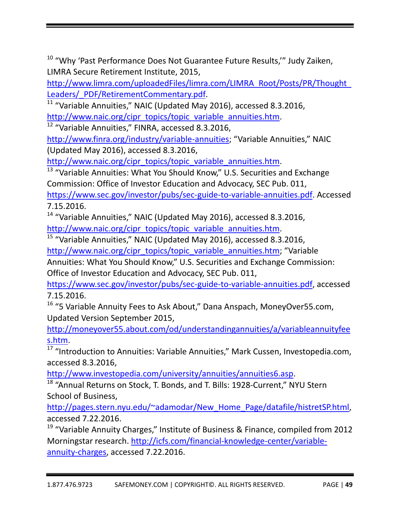<sup>10</sup> "Why 'Past Performance Does Not Guarantee Future Results,"" Judy Zaiken, LIMRA Secure Retirement Institute, 2015,

http://www.limra.com/uploadedFiles/limra.com/LIMRA\_Root/Posts/PR/Thought\_ Leaders/\_PDF/RetirementCommentary.pdf.

 $\frac{11}{11}$  "Variable Annuities," NAIC (Updated May 2016), accessed 8.3.2016,

http://www.naic.org/cipr\_topics/topic\_variable\_annuities.htm.

<sup>12</sup> "Variable Annuities," FINRA, accessed 8.3.2016,

http://www.finra.org/industry/variable‐annuities; "Variable Annuities," NAIC (Updated May 2016), accessed 8.3.2016,

http://www.naic.org/cipr\_topics/topic\_variable\_annuities.htm.

<sup>13</sup> "Variable Annuities: What You Should Know," U.S. Securities and Exchange Commission: Office of Investor Education and Advocacy, SEC Pub. 011, https://www.sec.gov/investor/pubs/sec‐guide‐to‐variable‐annuities.pdf. Accessed 7.15.2016.

<sup>14</sup> "Variable Annuities," NAIC (Updated May 2016), accessed 8.3.2016, http://www.naic.org/cipr\_topics/topic\_variable\_annuities.htm.

<sup>15</sup> "Variable Annuities," NAIC (Updated May 2016), accessed 8.3.2016, http://www.naic.org/cipr\_topics/topic\_variable\_annuities.htm; "Variable

Annuities: What You Should Know," U.S. Securities and Exchange Commission: Office of Investor Education and Advocacy, SEC Pub. 011,

https://www.sec.gov/investor/pubs/sec‐guide‐to‐variable‐annuities.pdf, accessed 7.15.2016.

<sup>16</sup> "5 Variable Annuity Fees to Ask About," Dana Anspach, MoneyOver55.com, Updated Version September 2015,

http://moneyover55.about.com/od/understandingannuities/a/variableannuityfee s.htm.

<sup>17</sup> "Introduction to Annuities: Variable Annuities," Mark Cussen, Investopedia.com, accessed 8.3.2016,

http://www.investopedia.com/university/annuities/annuities6.asp.

18 "Annual Returns on Stock, T. Bonds, and T. Bills: 1928-Current," NYU Stern School of Business,

http://pages.stern.nyu.edu/~adamodar/New\_Home\_Page/datafile/histretSP.html, accessed 7.22.2016.

<sup>19</sup> "Variable Annuity Charges," Institute of Business & Finance, compiled from 2012 Morningstar research. http://icfs.com/financial-knowledge-center/variableannuity-charges, accessed 7.22.2016.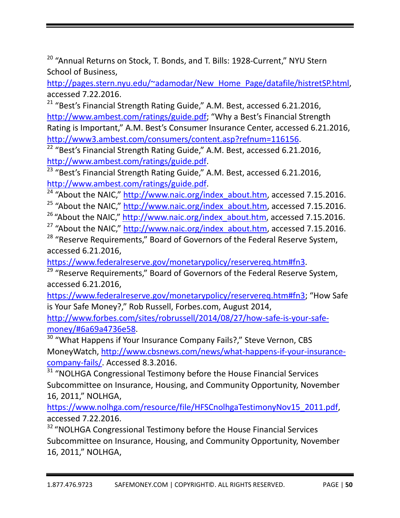<sup>20</sup> "Annual Returns on Stock, T. Bonds, and T. Bills: 1928-Current," NYU Stern School of Business,

http://pages.stern.nyu.edu/~adamodar/New Home Page/datafile/histretSP.html, accessed 7.22.2016.

<sup>21</sup> "Best's Financial Strength Rating Guide," A.M. Best, accessed 6.21.2016, http://www.ambest.com/ratings/guide.pdf; "Why a Best's Financial Strength Rating is Important," A.M. Best's Consumer Insurance Center, accessed 6.21.2016, http://www3.ambest.com/consumers/content.asp?refnum=116156.

<sup>22</sup> "Best's Financial Strength Rating Guide," A.M. Best, accessed 6.21.2016, http://www.ambest.com/ratings/guide.pdf.

<sup>23</sup> "Best's Financial Strength Rating Guide," A.M. Best, accessed 6.21.2016, http://www.ambest.com/ratings/guide.pdf.

 $24$  "About the NAIC," http://www.naic.org/index\_about.htm, accessed 7.15.2016.

<sup>25</sup> "About the NAIC," http://www.naic.org/index\_about.htm, accessed 7.15.2016.

<sup>26</sup> "About the NAIC," http://www.naic.org/index\_about.htm, accessed 7.15.2016.

<sup>27</sup> "About the NAIC," http://www.naic.org/index\_about.htm, accessed 7.15.2016.

<sup>28</sup> "Reserve Requirements," Board of Governors of the Federal Reserve System, accessed 6.21.2016,

https://www.federalreserve.gov/monetarypolicy/reservereq.htm#fn3.

<sup>29</sup> "Reserve Requirements," Board of Governors of the Federal Reserve System, accessed 6.21.2016,

https://www.federalreserve.gov/monetarypolicy/reservereq.htm#fn3; "How Safe is Your Safe Money?," Rob Russell, Forbes.com, August 2014,

http://www.forbes.com/sites/robrussell/2014/08/27/how‐safe‐is‐your‐safe‐ money/#6a69a4736e58.

<sup>30</sup> "What Happens if Your Insurance Company Fails?," Steve Vernon, CBS MoneyWatch, http://www.cbsnews.com/news/what‐happens‐if‐your‐insurance‐ company‐fails/. Accessed 8.3.2016.

 $31$  "NOLHGA Congressional Testimony before the House Financial Services Subcommittee on Insurance, Housing, and Community Opportunity, November 16, 2011," NOLHGA,

https://www.nolhga.com/resource/file/HFSCnolhgaTestimonyNov15\_2011.pdf, accessed 7.22.2016.

<sup>32</sup> "NOLHGA Congressional Testimony before the House Financial Services Subcommittee on Insurance, Housing, and Community Opportunity, November 16, 2011," NOLHGA,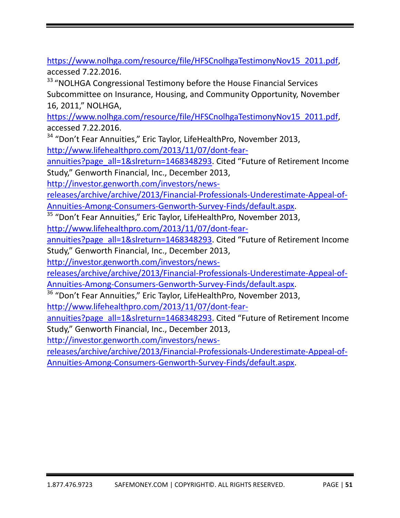https://www.nolhga.com/resource/file/HFSCnolhgaTestimonyNov15\_2011.pdf, accessed 7.22.2016.

<sup>33</sup> "NOLHGA Congressional Testimony before the House Financial Services Subcommittee on Insurance, Housing, and Community Opportunity, November 16, 2011," NOLHGA,

https://www.nolhga.com/resource/file/HFSCnolhgaTestimonyNov15\_2011.pdf, accessed 7.22.2016.

<sup>34</sup> "Don't Fear Annuities," Eric Taylor, LifeHealthPro, November 2013, http://www.lifehealthpro.com/2013/11/07/dont‐fear‐

annuities?page\_all=1&slreturn=1468348293. Cited "Future of Retirement Income Study," Genworth Financial, Inc., December 2013,

http://investor.genworth.com/investors/news‐

releases/archive/archive/2013/Financial‐Professionals‐Underestimate‐Appeal‐of‐ Annuities‐Among‐Consumers‐Genworth‐Survey‐Finds/default.aspx.

<sup>35</sup> "Don't Fear Annuities," Eric Taylor, LifeHealthPro, November 2013,

http://www.lifehealthpro.com/2013/11/07/dont‐fear‐

annuities?page\_all=1&slreturn=1468348293. Cited "Future of Retirement Income Study," Genworth Financial, Inc., December 2013,

http://investor.genworth.com/investors/news‐

releases/archive/archive/2013/Financial‐Professionals‐Underestimate‐Appeal‐of‐ Annuities-Among-Consumers-Genworth-Survey-Finds/default.aspx.

<sup>36</sup> "Don't Fear Annuities," Eric Taylor, LifeHealthPro, November 2013,

http://www.lifehealthpro.com/2013/11/07/dont‐fear‐

annuities?page\_all=1&slreturn=1468348293. Cited "Future of Retirement Income Study," Genworth Financial, Inc., December 2013,

http://investor.genworth.com/investors/news‐

releases/archive/archive/2013/Financial‐Professionals‐Underestimate‐Appeal‐of‐ Annuities‐Among‐Consumers‐Genworth‐Survey‐Finds/default.aspx.